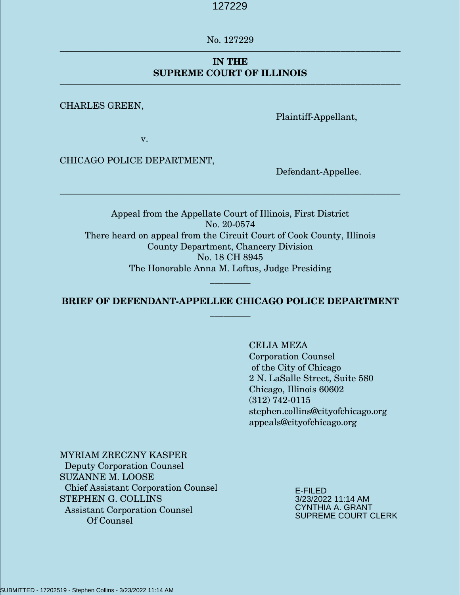No. 127229 ––––––––––––––––––––––––––––––––––––––––––––––––––––––––––––––––––––

## **IN THE SUPREME COURT OF ILLINOIS**

––––––––––––––––––––––––––––––––––––––––––––––––––––––––––––––––––––

#### CHARLES GREEN,

Plaintiff-Appellant,

v.

CHICAGO POLICE DEPARTMENT,

Defendant-Appellee.

Appeal from the Appellate Court of Illinois, First District No. 20-0574 There heard on appeal from the Circuit Court of Cook County, Illinois County Department, Chancery Division No. 18 CH 8945 The Honorable Anna M. Loftus, Judge Presiding

––––––––––––––––––––––––––––––––––––––––––––––––––––––––––––––––––––

### **BRIEF OF DEFENDANT-APPELLEE CHICAGO POLICE DEPARTMENT \_\_\_\_\_\_\_\_\_**

\_\_\_\_\_\_\_\_\_

CELIA MEZA Corporation Counsel of the City of Chicago 2 N. LaSalle Street, Suite 580 Chicago, Illinois 60602 (312) 742-0115 stephen.collins@cityofchicago.org appeals@cityofchicago.org

### MYRIAM ZRECZNY KASPER

 Deputy Corporation Counsel SUZANNE M. LOOSE Chief Assistant Corporation Counsel STEPHEN G. COLLINS Assistant Corporation Counsel Of Counsel

E-FILED 3/23/2022 11:14 AM CYNTHIA A. GRANT SUPREME COURT CLERK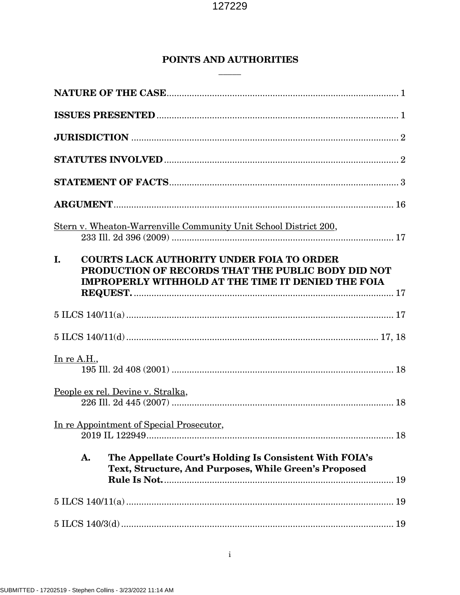# POINTS AND AUTHORITIES

|                    | Stern v. Wheaton-Warrenville Community Unit School District 200,                                                                                                    |  |
|--------------------|---------------------------------------------------------------------------------------------------------------------------------------------------------------------|--|
| L.                 | <b>COURTS LACK AUTHORITY UNDER FOIA TO ORDER</b><br>PRODUCTION OF RECORDS THAT THE PUBLIC BODY DID NOT<br><b>IMPROPERLY WITHHOLD AT THE TIME IT DENIED THE FOIA</b> |  |
|                    |                                                                                                                                                                     |  |
|                    |                                                                                                                                                                     |  |
| <u>In re A.H.,</u> |                                                                                                                                                                     |  |
|                    | People ex rel. Devine v. Stralka,                                                                                                                                   |  |
|                    | In re Appointment of Special Prosecutor,                                                                                                                            |  |
|                    | The Appellate Court's Holding Is Consistent With FOIA's<br>A.<br>Text, Structure, And Purposes, While Green's Proposed                                              |  |
|                    |                                                                                                                                                                     |  |
|                    |                                                                                                                                                                     |  |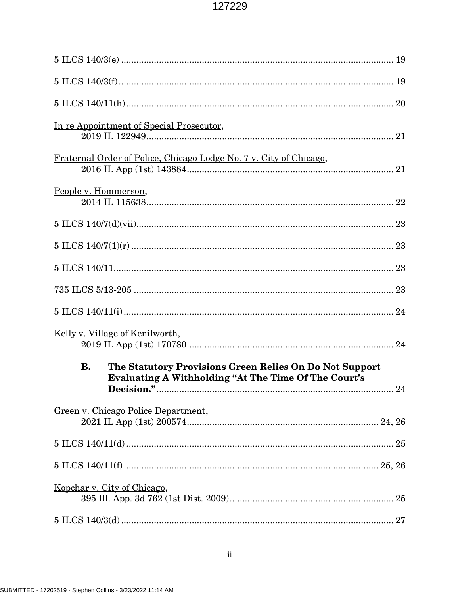|                      | In re Appointment of Special Prosecutor,                                                                               |  |
|----------------------|------------------------------------------------------------------------------------------------------------------------|--|
|                      | Fraternal Order of Police, Chicago Lodge No. 7 v. City of Chicago,                                                     |  |
| People v. Hommerson, |                                                                                                                        |  |
|                      |                                                                                                                        |  |
|                      |                                                                                                                        |  |
|                      |                                                                                                                        |  |
|                      |                                                                                                                        |  |
|                      |                                                                                                                        |  |
|                      | <u>Kelly v. Village of Kenilworth,</u>                                                                                 |  |
| <b>B.</b>            | The Statutory Provisions Green Relies On Do Not Support<br><b>Evaluating A Withholding "At The Time Of The Court's</b> |  |
|                      |                                                                                                                        |  |
|                      | Green v. Chicago Police Department,                                                                                    |  |
|                      | $5 \text{ ILCS } 140/11 \text{(d)} \dots$                                                                              |  |
|                      |                                                                                                                        |  |
|                      | Kopchar v. City of Chicago,                                                                                            |  |
|                      |                                                                                                                        |  |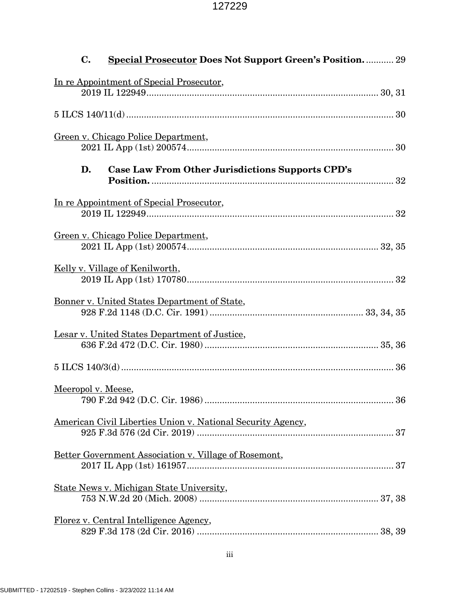| $\mathbf{C}$ .<br><b>Special Prosecutor Does Not Support Green's Position.</b> 29 |  |
|-----------------------------------------------------------------------------------|--|
| In re Appointment of Special Prosecutor,                                          |  |
|                                                                                   |  |
| Green v. Chicago Police Department,                                               |  |
| D.<br>Case Law From Other Jurisdictions Supports CPD's                            |  |
| In re Appointment of Special Prosecutor,                                          |  |
| Green v. Chicago Police Department,                                               |  |
| Kelly v. Village of Kenilworth,                                                   |  |
| Bonner v. United States Department of State,                                      |  |
| Lesar v. United States Department of Justice,                                     |  |
|                                                                                   |  |
| Meeropol v. Meese,                                                                |  |
| American Civil Liberties Union v. National Security Agency,                       |  |
| Better Government Association v. Village of Rosemont,                             |  |
| State News v. Michigan State University,                                          |  |
| Florez v. Central Intelligence Agency,                                            |  |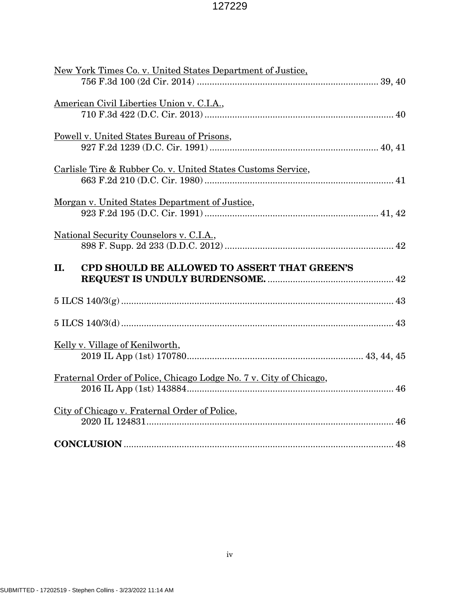| New York Times Co. v. United States Department of Justice,         |
|--------------------------------------------------------------------|
|                                                                    |
| American Civil Liberties Union v. C.I.A.,                          |
|                                                                    |
|                                                                    |
| <b>Powell v. United States Bureau of Prisons,</b>                  |
|                                                                    |
| Carlisle Tire & Rubber Co. v. United States Customs Service,       |
|                                                                    |
| Morgan v. United States Department of Justice,                     |
|                                                                    |
|                                                                    |
| National Security Counselors v. C.I.A.,                            |
|                                                                    |
|                                                                    |
| <b>CPD SHOULD BE ALLOWED TO ASSERT THAT GREEN'S</b><br>II.         |
|                                                                    |
|                                                                    |
|                                                                    |
|                                                                    |
|                                                                    |
| Kelly v. Village of Kenilworth,                                    |
|                                                                    |
|                                                                    |
| Fraternal Order of Police, Chicago Lodge No. 7 v. City of Chicago, |
|                                                                    |
| City of Chicago v. Fraternal Order of Police,                      |
|                                                                    |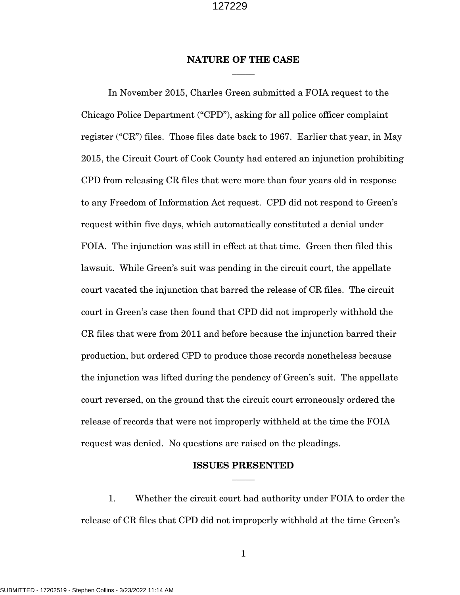### **NATURE OF THE CASE** \_\_\_\_\_

In November 2015, Charles Green submitted a FOIA request to the Chicago Police Department ("CPD"), asking for all police officer complaint register ("CR") files. Those files date back to 1967. Earlier that year, in May 2015, the Circuit Court of Cook County had entered an injunction prohibiting CPD from releasing CR files that were more than four years old in response to any Freedom of Information Act request. CPD did not respond to Green's request within five days, which automatically constituted a denial under FOIA. The injunction was still in effect at that time. Green then filed this lawsuit. While Green's suit was pending in the circuit court, the appellate court vacated the injunction that barred the release of CR files. The circuit court in Green's case then found that CPD did not improperly withhold the CR files that were from 2011 and before because the injunction barred their production, but ordered CPD to produce those records nonetheless because the injunction was lifted during the pendency of Green's suit. The appellate court reversed, on the ground that the circuit court erroneously ordered the release of records that were not improperly withheld at the time the FOIA request was denied. No questions are raised on the pleadings.

### **ISSUES PRESENTED**  $\overline{\phantom{a}}$

1. Whether the circuit court had authority under FOIA to order the release of CR files that CPD did not improperly withhold at the time Green's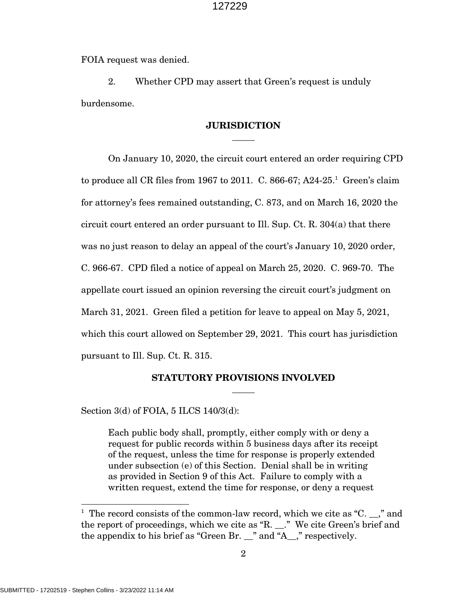FOIA request was denied.

2. Whether CPD may assert that Green's request is unduly burdensome.

### **JURISDICTION**  $\overline{\phantom{a}}$

On January 10, 2020, the circuit court entered an order requiring CPD to produce all CR files from 1967 to 2011. C. 866-67; A24-25.<sup>1</sup> Green's claim for attorney's fees remained outstanding, C. 873, and on March 16, 2020 the circuit court entered an order pursuant to Ill. Sup. Ct. R. 304(a) that there was no just reason to delay an appeal of the court's January 10, 2020 order, C. 966-67. CPD filed a notice of appeal on March 25, 2020. C. 969-70. The appellate court issued an opinion reversing the circuit court's judgment on March 31, 2021. Green filed a petition for leave to appeal on May 5, 2021, which this court allowed on September 29, 2021. This court has jurisdiction pursuant to Ill. Sup. Ct. R. 315.

### **STATUTORY PROVISIONS INVOLVED**  $\overline{\phantom{a}}$

Section 3(d) of FOIA, 5 ILCS 140/3(d):

Each public body shall, promptly, either comply with or deny a request for public records within 5 business days after its receipt of the request, unless the time for response is properly extended under subsection (e) of this Section. Denial shall be in writing as provided in Section 9 of this Act. Failure to comply with a written request, extend the time for response, or deny a request

<sup>&</sup>lt;sup>1</sup> The record consists of the common-law record, which we cite as "C.  $\ldots$ ," and the report of proceedings, which we cite as "R. \_\_." We cite Green's brief and the appendix to his brief as "Green Br. \_\_" and "A\_\_," respectively.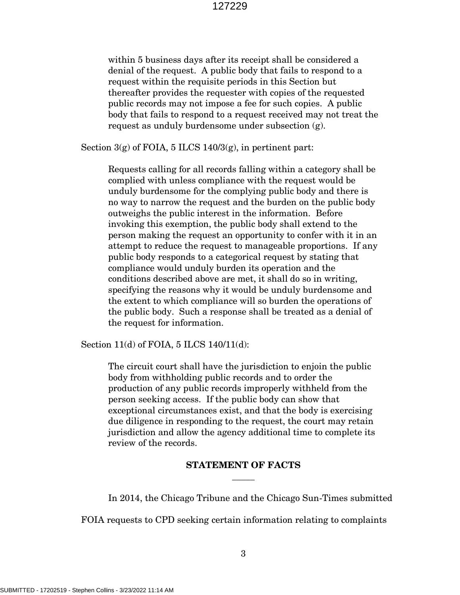within 5 business days after its receipt shall be considered a denial of the request. A public body that fails to respond to a request within the requisite periods in this Section but thereafter provides the requester with copies of the requested public records may not impose a fee for such copies. A public body that fails to respond to a request received may not treat the request as unduly burdensome under subsection (g).

Section  $3(g)$  of FOIA, 5 ILCS 140/ $3(g)$ , in pertinent part:

Requests calling for all records falling within a category shall be complied with unless compliance with the request would be unduly burdensome for the complying public body and there is no way to narrow the request and the burden on the public body outweighs the public interest in the information. Before invoking this exemption, the public body shall extend to the person making the request an opportunity to confer with it in an attempt to reduce the request to manageable proportions. If any public body responds to a categorical request by stating that compliance would unduly burden its operation and the conditions described above are met, it shall do so in writing, specifying the reasons why it would be unduly burdensome and the extent to which compliance will so burden the operations of the public body. Such a response shall be treated as a denial of the request for information.

Section 11(d) of FOIA, 5 ILCS 140/11(d):

The circuit court shall have the jurisdiction to enjoin the public body from withholding public records and to order the production of any public records improperly withheld from the person seeking access. If the public body can show that exceptional circumstances exist, and that the body is exercising due diligence in responding to the request, the court may retain jurisdiction and allow the agency additional time to complete its review of the records.

### **STATEMENT OF FACTS**  $\overline{\phantom{a}}$

In 2014, the Chicago Tribune and the Chicago Sun-Times submitted

FOIA requests to CPD seeking certain information relating to complaints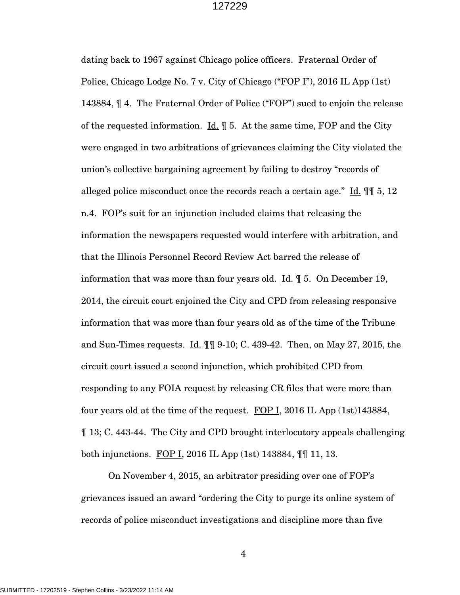dating back to 1967 against Chicago police officers. Fraternal Order of Police, Chicago Lodge No. 7 v. City of Chicago ("FOP I"), 2016 IL App (1st) 143884, ¶ 4. The Fraternal Order of Police ("FOP") sued to enjoin the release of the requested information. <u>Id.</u>  $\parallel$  5. At the same time, FOP and the City were engaged in two arbitrations of grievances claiming the City violated the union's collective bargaining agreement by failing to destroy "records of alleged police misconduct once the records reach a certain age." Id. ¶¶ 5, 12 n.4. FOP's suit for an injunction included claims that releasing the information the newspapers requested would interfere with arbitration, and that the Illinois Personnel Record Review Act barred the release of information that was more than four years old.  $\underline{\text{Id.}}$   $\P$  5. On December 19, 2014, the circuit court enjoined the City and CPD from releasing responsive information that was more than four years old as of the time of the Tribune and Sun-Times requests.  $\underline{Id}$ .  $\P\P\P$  9-10; C. 439-42. Then, on May 27, 2015, the circuit court issued a second injunction, which prohibited CPD from responding to any FOIA request by releasing CR files that were more than four years old at the time of the request. FOP I, 2016 IL App (1st)143884, ¶ 13; C. 443-44. The City and CPD brought interlocutory appeals challenging both injunctions. FOP I, 2016 IL App (1st) 143884, ¶¶ 11, 13.

On November 4, 2015, an arbitrator presiding over one of FOP's grievances issued an award "ordering the City to purge its online system of records of police misconduct investigations and discipline more than five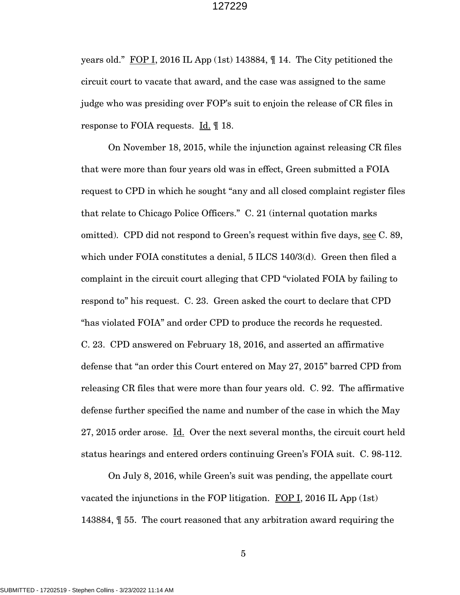years old." FOP I, 2016 IL App (1st) 143884, ¶ 14. The City petitioned the circuit court to vacate that award, and the case was assigned to the same judge who was presiding over FOP's suit to enjoin the release of CR files in response to FOIA requests.  $\underline{Id}$ .  $\P$  18.

On November 18, 2015, while the injunction against releasing CR files that were more than four years old was in effect, Green submitted a FOIA request to CPD in which he sought "any and all closed complaint register files that relate to Chicago Police Officers." C. 21 (internal quotation marks omitted). CPD did not respond to Green's request within five days, see C. 89, which under FOIA constitutes a denial, 5 ILCS 140/3(d). Green then filed a complaint in the circuit court alleging that CPD "violated FOIA by failing to respond to" his request. C. 23. Green asked the court to declare that CPD "has violated FOIA" and order CPD to produce the records he requested. C. 23. CPD answered on February 18, 2016, and asserted an affirmative defense that "an order this Court entered on May 27, 2015" barred CPD from releasing CR files that were more than four years old. C. 92. The affirmative defense further specified the name and number of the case in which the May 27, 2015 order arose. Id. Over the next several months, the circuit court held status hearings and entered orders continuing Green's FOIA suit. C. 98-112.

On July 8, 2016, while Green's suit was pending, the appellate court vacated the injunctions in the FOP litigation. FOP I, 2016 IL App (1st) 143884, ¶ 55. The court reasoned that any arbitration award requiring the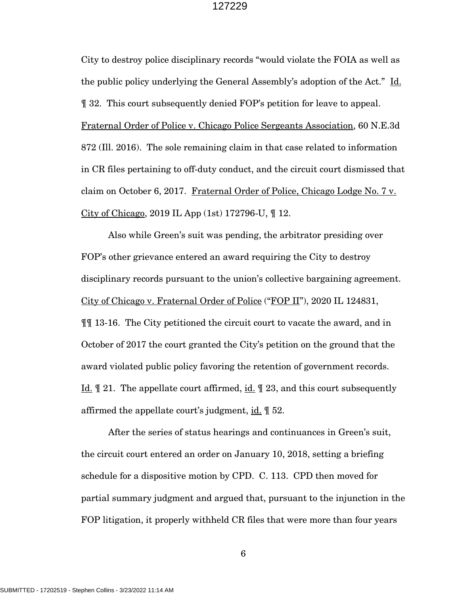City to destroy police disciplinary records "would violate the FOIA as well as the public policy underlying the General Assembly's adoption of the Act." Id. ¶ 32. This court subsequently denied FOP's petition for leave to appeal. Fraternal Order of Police v. Chicago Police Sergeants Association, 60 N.E.3d 872 (Ill. 2016). The sole remaining claim in that case related to information in CR files pertaining to off-duty conduct, and the circuit court dismissed that claim on October 6, 2017. Fraternal Order of Police, Chicago Lodge No. 7 v. City of Chicago, 2019 IL App (1st) 172796-U, ¶ 12.

Also while Green's suit was pending, the arbitrator presiding over FOP's other grievance entered an award requiring the City to destroy disciplinary records pursuant to the union's collective bargaining agreement. City of Chicago v. Fraternal Order of Police ("FOP II"), 2020 IL 124831, ¶¶ 13-16. The City petitioned the circuit court to vacate the award, and in October of 2017 the court granted the City's petition on the ground that the award violated public policy favoring the retention of government records. Id. ¶ 21. The appellate court affirmed, id. ¶ 23, and this court subsequently affirmed the appellate court's judgment, id. ¶ 52.

After the series of status hearings and continuances in Green's suit, the circuit court entered an order on January 10, 2018, setting a briefing schedule for a dispositive motion by CPD. C. 113. CPD then moved for partial summary judgment and argued that, pursuant to the injunction in the FOP litigation, it properly withheld CR files that were more than four years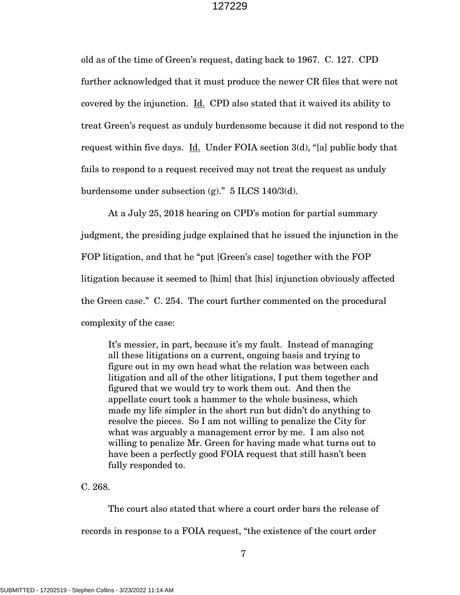old as of the time of Green's request, dating back to 1967. C. 127. CPD further acknowledged that it must produce the newer CR files that were not covered by the injunction. Id. CPD also stated that it waived its ability to treat Green's request as unduly burdensome because it did not respond to the request within five days. Id. Under FOIA section  $3(d)$ , "[a] public body that fails to respond to a request received may not treat the request as unduly burdensome under subsection  $(g)$ ." 5 ILCS 140/3(d).

At a July 25, 2018 hearing on CPD's motion for partial summary judgment, the presiding judge explained that he issued the injunction in the FOP litigation, and that he "put [Green's case] together with the FOP litigation because it seemed to [him] that [his] injunction obviously affected the Green case." C. 254. The court further commented on the procedural complexity of the case:

It's messier, in part, because it's my fault. Instead of managing all these litigations on a current, ongoing basis and trying to figure out in my own head what the relation was between each litigation and all of the other litigations, I put them together and figured that we would try to work them out. And then the appellate court took a hammer to the whole business, which made my life simpler in the short run but didn't do anything to resolve the pieces. So I am not willing to penalize the City for what was arguably a management error by me. I am also not willing to penalize Mr. Green for having made what turns out to have been a perfectly good FOIA request that still hasn't been fully responded to.

C. 268.

The court also stated that where a court order bars the release of records in response to a FOIA request, "the existence of the court order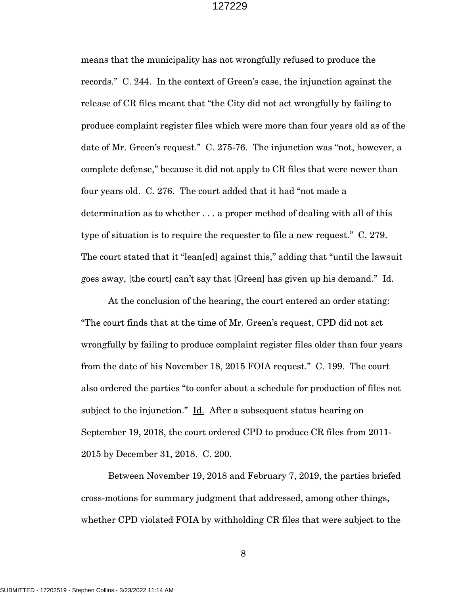means that the municipality has not wrongfully refused to produce the records." C. 244. In the context of Green's case, the injunction against the release of CR files meant that "the City did not act wrongfully by failing to produce complaint register files which were more than four years old as of the date of Mr. Green's request." C. 275-76. The injunction was "not, however, a complete defense," because it did not apply to CR files that were newer than four years old. C. 276. The court added that it had "not made a determination as to whether . . . a proper method of dealing with all of this type of situation is to require the requester to file a new request." C. 279. The court stated that it "lean[ed] against this," adding that "until the lawsuit goes away, [the court] can't say that [Green] has given up his demand." Id.

At the conclusion of the hearing, the court entered an order stating: "The court finds that at the time of Mr. Green's request, CPD did not act wrongfully by failing to produce complaint register files older than four years from the date of his November 18, 2015 FOIA request." C. 199. The court also ordered the parties "to confer about a schedule for production of files not subject to the injunction." Id. After a subsequent status hearing on September 19, 2018, the court ordered CPD to produce CR files from 2011- 2015 by December 31, 2018. C. 200.

Between November 19, 2018 and February 7, 2019, the parties briefed cross-motions for summary judgment that addressed, among other things, whether CPD violated FOIA by withholding CR files that were subject to the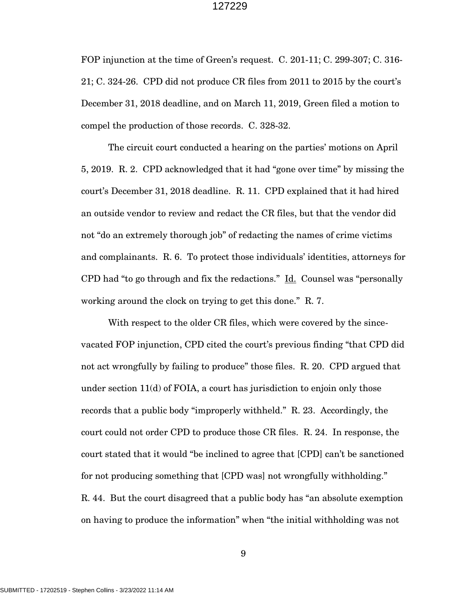FOP injunction at the time of Green's request. C. 201-11; C. 299-307; C. 316- 21; C. 324-26. CPD did not produce CR files from 2011 to 2015 by the court's December 31, 2018 deadline, and on March 11, 2019, Green filed a motion to compel the production of those records. C. 328-32.

The circuit court conducted a hearing on the parties' motions on April 5, 2019. R. 2. CPD acknowledged that it had "gone over time" by missing the court's December 31, 2018 deadline. R. 11. CPD explained that it had hired an outside vendor to review and redact the CR files, but that the vendor did not "do an extremely thorough job" of redacting the names of crime victims and complainants. R. 6. To protect those individuals' identities, attorneys for CPD had "to go through and fix the redactions." Id. Counsel was "personally working around the clock on trying to get this done." R. 7.

With respect to the older CR files, which were covered by the sincevacated FOP injunction, CPD cited the court's previous finding "that CPD did not act wrongfully by failing to produce" those files. R. 20. CPD argued that under section 11(d) of FOIA, a court has jurisdiction to enjoin only those records that a public body "improperly withheld." R. 23. Accordingly, the court could not order CPD to produce those CR files. R. 24. In response, the court stated that it would "be inclined to agree that [CPD] can't be sanctioned for not producing something that [CPD was] not wrongfully withholding." R. 44. But the court disagreed that a public body has "an absolute exemption on having to produce the information" when "the initial withholding was not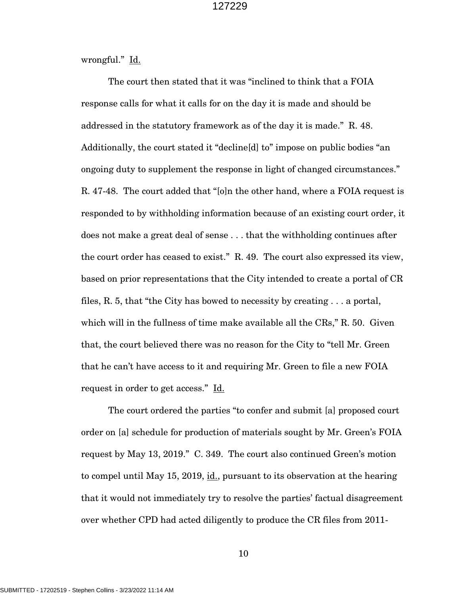wrongful." <u>Id.</u>

The court then stated that it was "inclined to think that a FOIA response calls for what it calls for on the day it is made and should be addressed in the statutory framework as of the day it is made." R. 48. Additionally, the court stated it "decline[d] to" impose on public bodies "an ongoing duty to supplement the response in light of changed circumstances." R. 47-48. The court added that "[o]n the other hand, where a FOIA request is responded to by withholding information because of an existing court order, it does not make a great deal of sense . . . that the withholding continues after the court order has ceased to exist." R. 49. The court also expressed its view, based on prior representations that the City intended to create a portal of CR files, R. 5, that "the City has bowed to necessity by creating . . . a portal, which will in the fullness of time make available all the CRs," R. 50. Given that, the court believed there was no reason for the City to "tell Mr. Green that he can't have access to it and requiring Mr. Green to file a new FOIA request in order to get access." Id.

The court ordered the parties "to confer and submit [a] proposed court order on [a] schedule for production of materials sought by Mr. Green's FOIA request by May 13, 2019." C. 349. The court also continued Green's motion to compel until May 15, 2019, id., pursuant to its observation at the hearing that it would not immediately try to resolve the parties' factual disagreement over whether CPD had acted diligently to produce the CR files from 2011-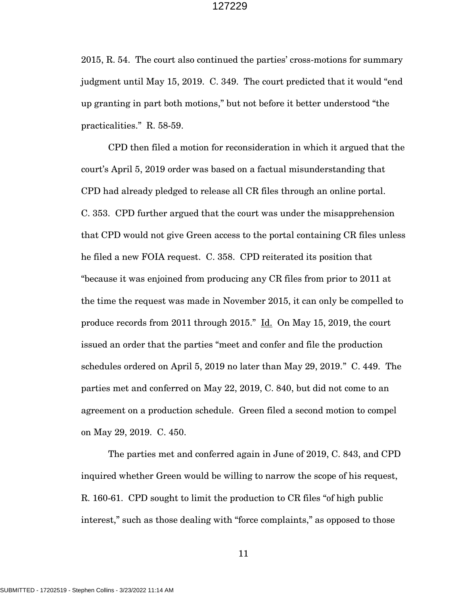2015, R. 54. The court also continued the parties' cross-motions for summary judgment until May 15, 2019. C. 349. The court predicted that it would "end up granting in part both motions," but not before it better understood "the practicalities." R. 58-59.

CPD then filed a motion for reconsideration in which it argued that the court's April 5, 2019 order was based on a factual misunderstanding that CPD had already pledged to release all CR files through an online portal. C. 353. CPD further argued that the court was under the misapprehension that CPD would not give Green access to the portal containing CR files unless he filed a new FOIA request. C. 358. CPD reiterated its position that "because it was enjoined from producing any CR files from prior to 2011 at the time the request was made in November 2015, it can only be compelled to produce records from 2011 through 2015." Id. On May 15, 2019, the court issued an order that the parties "meet and confer and file the production schedules ordered on April 5, 2019 no later than May 29, 2019." C. 449. The parties met and conferred on May 22, 2019, C. 840, but did not come to an agreement on a production schedule. Green filed a second motion to compel on May 29, 2019. C. 450.

The parties met and conferred again in June of 2019, C. 843, and CPD inquired whether Green would be willing to narrow the scope of his request, R. 160-61. CPD sought to limit the production to CR files "of high public interest," such as those dealing with "force complaints," as opposed to those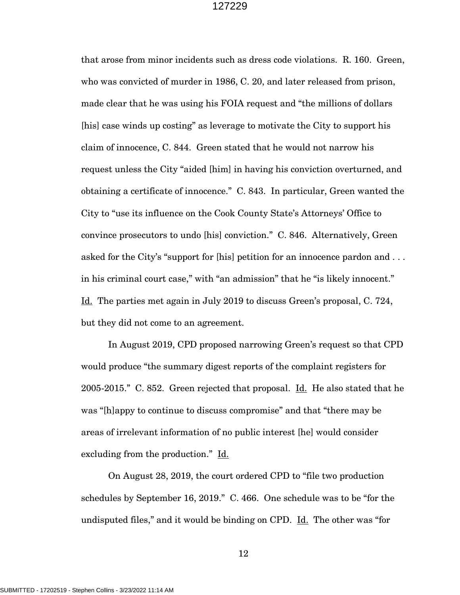that arose from minor incidents such as dress code violations. R. 160. Green, who was convicted of murder in 1986, C. 20, and later released from prison, made clear that he was using his FOIA request and "the millions of dollars [his] case winds up costing" as leverage to motivate the City to support his claim of innocence, C. 844. Green stated that he would not narrow his request unless the City "aided [him] in having his conviction overturned, and obtaining a certificate of innocence." C. 843. In particular, Green wanted the City to "use its influence on the Cook County State's Attorneys' Office to convince prosecutors to undo [his] conviction." C. 846. Alternatively, Green asked for the City's "support for [his] petition for an innocence pardon and . . . in his criminal court case," with "an admission" that he "is likely innocent." Id. The parties met again in July 2019 to discuss Green's proposal, C. 724, but they did not come to an agreement.

In August 2019, CPD proposed narrowing Green's request so that CPD would produce "the summary digest reports of the complaint registers for 2005-2015." C. 852. Green rejected that proposal. Id. He also stated that he was "[h]appy to continue to discuss compromise" and that "there may be areas of irrelevant information of no public interest [he] would consider excluding from the production." Id.

On August 28, 2019, the court ordered CPD to "file two production schedules by September 16, 2019." C. 466. One schedule was to be "for the undisputed files," and it would be binding on CPD. Id. The other was "for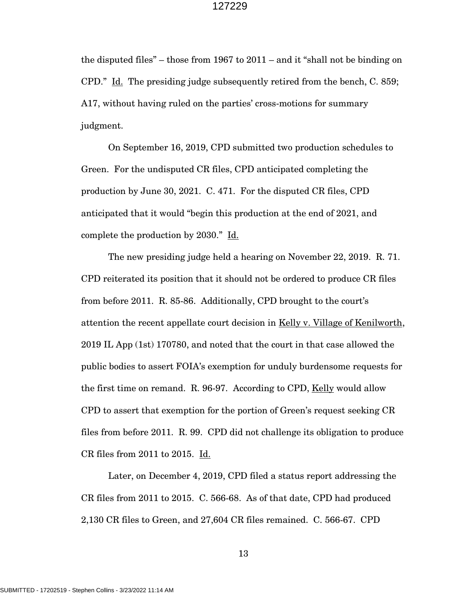the disputed files" – those from 1967 to  $2011$  – and it "shall not be binding on CPD." Id. The presiding judge subsequently retired from the bench, C. 859; A17, without having ruled on the parties' cross-motions for summary judgment.

On September 16, 2019, CPD submitted two production schedules to Green. For the undisputed CR files, CPD anticipated completing the production by June 30, 2021. C. 471. For the disputed CR files, CPD anticipated that it would "begin this production at the end of 2021, and complete the production by 2030." Id.

The new presiding judge held a hearing on November 22, 2019. R. 71. CPD reiterated its position that it should not be ordered to produce CR files from before 2011. R. 85-86. Additionally, CPD brought to the court's attention the recent appellate court decision in Kelly v. Village of Kenilworth, 2019 IL App (1st) 170780, and noted that the court in that case allowed the public bodies to assert FOIA's exemption for unduly burdensome requests for the first time on remand. R. 96-97. According to CPD, Kelly would allow CPD to assert that exemption for the portion of Green's request seeking CR files from before 2011. R. 99. CPD did not challenge its obligation to produce CR files from 2011 to 2015. Id.

Later, on December 4, 2019, CPD filed a status report addressing the CR files from 2011 to 2015. C. 566-68. As of that date, CPD had produced 2,130 CR files to Green, and 27,604 CR files remained. C. 566-67. CPD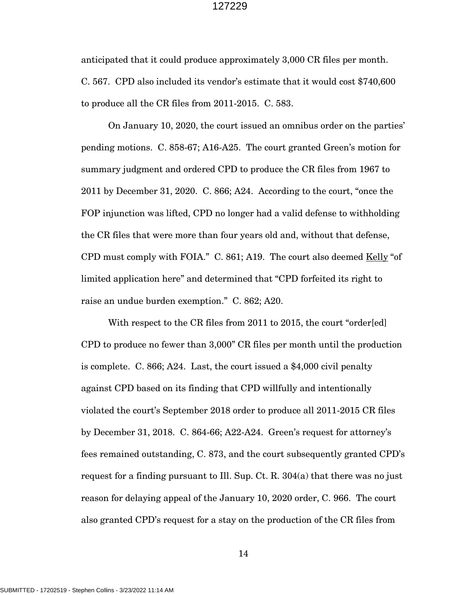anticipated that it could produce approximately 3,000 CR files per month. C. 567. CPD also included its vendor's estimate that it would cost \$740,600 to produce all the CR files from 2011-2015. C. 583.

On January 10, 2020, the court issued an omnibus order on the parties' pending motions. C. 858-67; A16-A25. The court granted Green's motion for summary judgment and ordered CPD to produce the CR files from 1967 to 2011 by December 31, 2020. C. 866; A24. According to the court, "once the FOP injunction was lifted, CPD no longer had a valid defense to withholding the CR files that were more than four years old and, without that defense, CPD must comply with FOIA." C. 861; A19. The court also deemed Kelly "of limited application here" and determined that "CPD forfeited its right to raise an undue burden exemption." C. 862; A20.

With respect to the CR files from 2011 to 2015, the court "order[ed] CPD to produce no fewer than 3,000" CR files per month until the production is complete. C. 866; A24. Last, the court issued a \$4,000 civil penalty against CPD based on its finding that CPD willfully and intentionally violated the court's September 2018 order to produce all 2011-2015 CR files by December 31, 2018. C. 864-66; A22-A24. Green's request for attorney's fees remained outstanding, C. 873, and the court subsequently granted CPD's request for a finding pursuant to Ill. Sup. Ct. R. 304(a) that there was no just reason for delaying appeal of the January 10, 2020 order, C. 966. The court also granted CPD's request for a stay on the production of the CR files from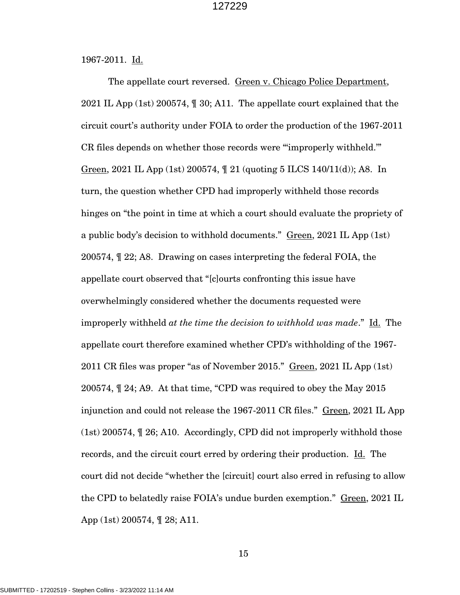1967-2011. Id.

The appellate court reversed. Green v. Chicago Police Department, 2021 IL App (1st) 200574, ¶ 30; A11. The appellate court explained that the circuit court's authority under FOIA to order the production of the 1967-2011 CR files depends on whether those records were "'improperly withheld.'" Green, 2021 IL App (1st) 200574, ¶ 21 (quoting 5 ILCS 140/11(d)); A8. In turn, the question whether CPD had improperly withheld those records hinges on "the point in time at which a court should evaluate the propriety of a public body's decision to withhold documents." Green, 2021 IL App (1st) 200574, ¶ 22; A8. Drawing on cases interpreting the federal FOIA, the appellate court observed that "[c]ourts confronting this issue have overwhelmingly considered whether the documents requested were improperly withheld *at the time the decision to withhold was made*." Id. The appellate court therefore examined whether CPD's withholding of the 1967- 2011 CR files was proper "as of November 2015." Green, 2021 IL App (1st) 200574, ¶ 24; A9. At that time, "CPD was required to obey the May 2015 injunction and could not release the 1967-2011 CR files." Green, 2021 IL App (1st) 200574, ¶ 26; A10. Accordingly, CPD did not improperly withhold those records, and the circuit court erred by ordering their production. Id. The court did not decide "whether the [circuit] court also erred in refusing to allow the CPD to belatedly raise FOIA's undue burden exemption." Green, 2021 IL App (1st) 200574, ¶ 28; A11.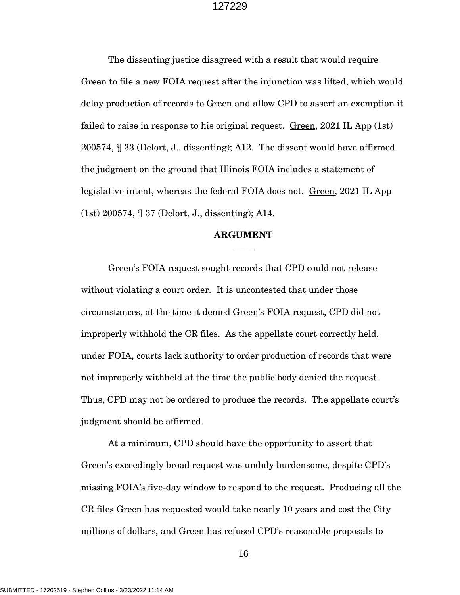The dissenting justice disagreed with a result that would require Green to file a new FOIA request after the injunction was lifted, which would delay production of records to Green and allow CPD to assert an exemption it failed to raise in response to his original request.  $Green$ , 2021 IL App (1st) 200574, ¶ 33 (Delort, J., dissenting); A12. The dissent would have affirmed the judgment on the ground that Illinois FOIA includes a statement of legislative intent, whereas the federal FOIA does not. Green, 2021 IL App (1st) 200574, ¶ 37 (Delort, J., dissenting); A14.

### **ARGUMENT**  $\overline{\phantom{a}}$

Green's FOIA request sought records that CPD could not release without violating a court order. It is uncontested that under those circumstances, at the time it denied Green's FOIA request, CPD did not improperly withhold the CR files. As the appellate court correctly held, under FOIA, courts lack authority to order production of records that were not improperly withheld at the time the public body denied the request. Thus, CPD may not be ordered to produce the records. The appellate court's judgment should be affirmed.

At a minimum, CPD should have the opportunity to assert that Green's exceedingly broad request was unduly burdensome, despite CPD's missing FOIA's five-day window to respond to the request. Producing all the CR files Green has requested would take nearly 10 years and cost the City millions of dollars, and Green has refused CPD's reasonable proposals to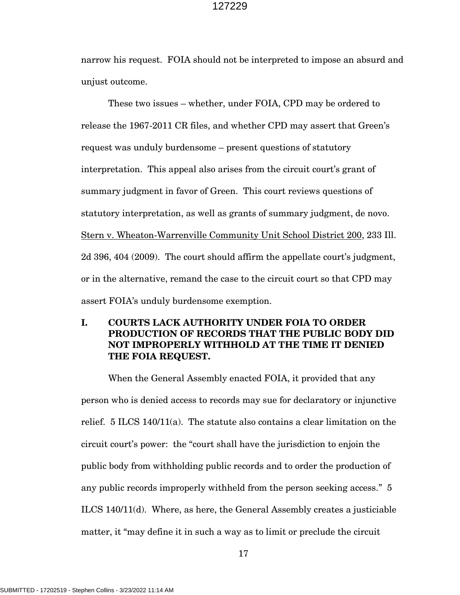narrow his request. FOIA should not be interpreted to impose an absurd and unjust outcome.

These two issues – whether, under FOIA, CPD may be ordered to release the 1967-2011 CR files, and whether CPD may assert that Green's request was unduly burdensome – present questions of statutory interpretation. This appeal also arises from the circuit court's grant of summary judgment in favor of Green. This court reviews questions of statutory interpretation, as well as grants of summary judgment, de novo. Stern v. Wheaton-Warrenville Community Unit School District 200, 233 Ill. 2d 396, 404 (2009). The court should affirm the appellate court's judgment, or in the alternative, remand the case to the circuit court so that CPD may assert FOIA's unduly burdensome exemption.

## **I. COURTS LACK AUTHORITY UNDER FOIA TO ORDER PRODUCTION OF RECORDS THAT THE PUBLIC BODY DID NOT IMPROPERLY WITHHOLD AT THE TIME IT DENIED THE FOIA REQUEST.**

When the General Assembly enacted FOIA, it provided that any person who is denied access to records may sue for declaratory or injunctive relief. 5 ILCS 140/11(a). The statute also contains a clear limitation on the circuit court's power: the "court shall have the jurisdiction to enjoin the public body from withholding public records and to order the production of any public records improperly withheld from the person seeking access." 5 ILCS 140/11(d). Where, as here, the General Assembly creates a justiciable matter, it "may define it in such a way as to limit or preclude the circuit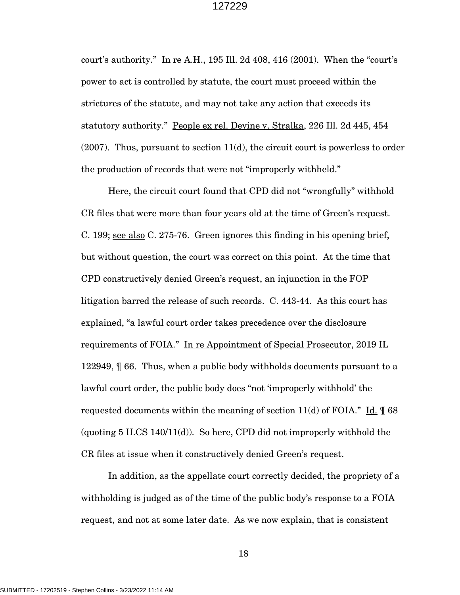court's authority." In re A.H., 195 Ill. 2d 408, 416 (2001). When the "court's power to act is controlled by statute, the court must proceed within the strictures of the statute, and may not take any action that exceeds its statutory authority." People ex rel. Devine v. Stralka, 226 Ill. 2d 445, 454  $(2007)$ . Thus, pursuant to section  $11(d)$ , the circuit court is powerless to order the production of records that were not "improperly withheld."

Here, the circuit court found that CPD did not "wrongfully" withhold CR files that were more than four years old at the time of Green's request. C. 199; see also C. 275-76. Green ignores this finding in his opening brief, but without question, the court was correct on this point. At the time that CPD constructively denied Green's request, an injunction in the FOP litigation barred the release of such records. C. 443-44. As this court has explained, "a lawful court order takes precedence over the disclosure requirements of FOIA." In re Appointment of Special Prosecutor, 2019 IL 122949, ¶ 66. Thus, when a public body withholds documents pursuant to a lawful court order, the public body does "not 'improperly withhold' the requested documents within the meaning of section  $11(d)$  of FOIA." Id.  $\sqrt{9}$  68 (quoting 5 ILCS 140/11(d)). So here, CPD did not improperly withhold the CR files at issue when it constructively denied Green's request.

In addition, as the appellate court correctly decided, the propriety of a withholding is judged as of the time of the public body's response to a FOIA request, and not at some later date. As we now explain, that is consistent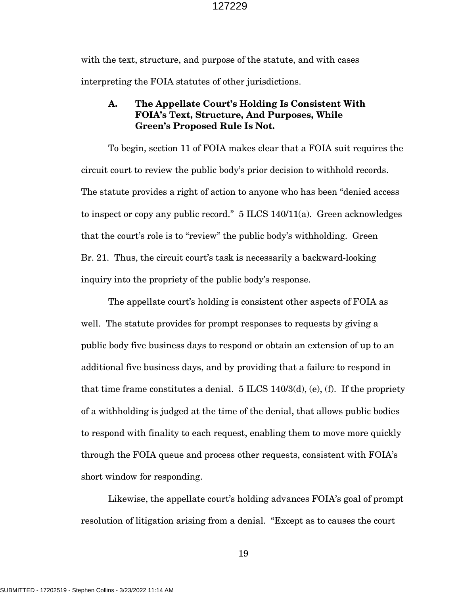with the text, structure, and purpose of the statute, and with cases interpreting the FOIA statutes of other jurisdictions.

### **A. The Appellate Court's Holding Is Consistent With FOIA's Text, Structure, And Purposes, While Green's Proposed Rule Is Not.**

To begin, section 11 of FOIA makes clear that a FOIA suit requires the circuit court to review the public body's prior decision to withhold records. The statute provides a right of action to anyone who has been "denied access to inspect or copy any public record." 5 ILCS 140/11(a). Green acknowledges that the court's role is to "review" the public body's withholding. Green Br. 21. Thus, the circuit court's task is necessarily a backward-looking inquiry into the propriety of the public body's response.

The appellate court's holding is consistent other aspects of FOIA as well. The statute provides for prompt responses to requests by giving a public body five business days to respond or obtain an extension of up to an additional five business days, and by providing that a failure to respond in that time frame constitutes a denial.  $5$  ILCS 140/3(d), (e), (f). If the propriety of a withholding is judged at the time of the denial, that allows public bodies to respond with finality to each request, enabling them to move more quickly through the FOIA queue and process other requests, consistent with FOIA's short window for responding.

Likewise, the appellate court's holding advances FOIA's goal of prompt resolution of litigation arising from a denial. "Except as to causes the court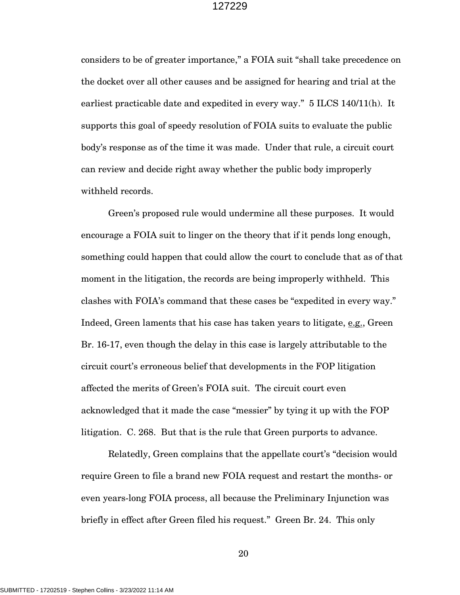considers to be of greater importance," a FOIA suit "shall take precedence on the docket over all other causes and be assigned for hearing and trial at the earliest practicable date and expedited in every way." 5 ILCS 140/11(h). It supports this goal of speedy resolution of FOIA suits to evaluate the public body's response as of the time it was made. Under that rule, a circuit court can review and decide right away whether the public body improperly withheld records.

Green's proposed rule would undermine all these purposes. It would encourage a FOIA suit to linger on the theory that if it pends long enough, something could happen that could allow the court to conclude that as of that moment in the litigation, the records are being improperly withheld. This clashes with FOIA's command that these cases be "expedited in every way." Indeed, Green laments that his case has taken years to litigate, e.g., Green Br. 16-17, even though the delay in this case is largely attributable to the circuit court's erroneous belief that developments in the FOP litigation affected the merits of Green's FOIA suit. The circuit court even acknowledged that it made the case "messier" by tying it up with the FOP litigation. C. 268. But that is the rule that Green purports to advance.

Relatedly, Green complains that the appellate court's "decision would require Green to file a brand new FOIA request and restart the months- or even years-long FOIA process, all because the Preliminary Injunction was briefly in effect after Green filed his request." Green Br. 24. This only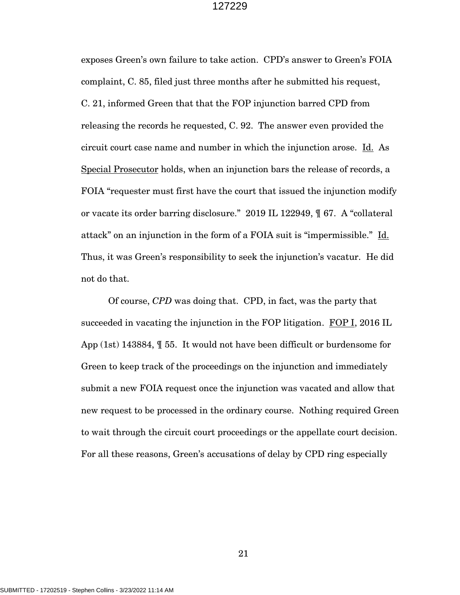exposes Green's own failure to take action. CPD's answer to Green's FOIA complaint, C. 85, filed just three months after he submitted his request, C. 21, informed Green that that the FOP injunction barred CPD from releasing the records he requested, C. 92. The answer even provided the circuit court case name and number in which the injunction arose. Id. As Special Prosecutor holds, when an injunction bars the release of records, a FOIA "requester must first have the court that issued the injunction modify or vacate its order barring disclosure." 2019 IL 122949, ¶ 67. A "collateral attack" on an injunction in the form of a FOIA suit is "impermissible." Id. Thus, it was Green's responsibility to seek the injunction's vacatur. He did not do that.

Of course, *CPD* was doing that. CPD, in fact, was the party that succeeded in vacating the injunction in the FOP litigation. FOP I, 2016 IL App (1st) 143884, ¶ 55. It would not have been difficult or burdensome for Green to keep track of the proceedings on the injunction and immediately submit a new FOIA request once the injunction was vacated and allow that new request to be processed in the ordinary course. Nothing required Green to wait through the circuit court proceedings or the appellate court decision. For all these reasons, Green's accusations of delay by CPD ring especially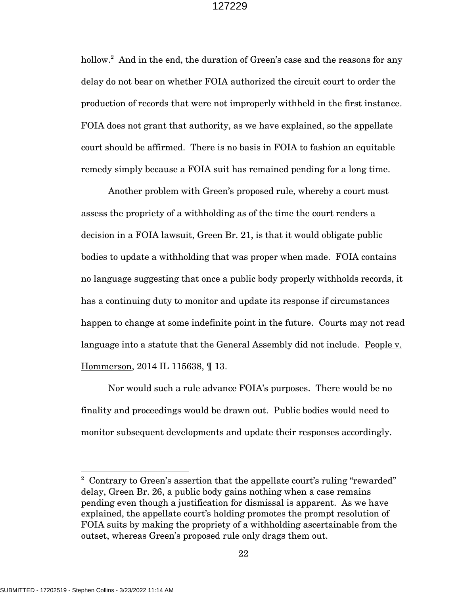hollow.<sup>2</sup> And in the end, the duration of Green's case and the reasons for any delay do not bear on whether FOIA authorized the circuit court to order the production of records that were not improperly withheld in the first instance. FOIA does not grant that authority, as we have explained, so the appellate court should be affirmed. There is no basis in FOIA to fashion an equitable remedy simply because a FOIA suit has remained pending for a long time.

Another problem with Green's proposed rule, whereby a court must assess the propriety of a withholding as of the time the court renders a decision in a FOIA lawsuit, Green Br. 21, is that it would obligate public bodies to update a withholding that was proper when made. FOIA contains no language suggesting that once a public body properly withholds records, it has a continuing duty to monitor and update its response if circumstances happen to change at some indefinite point in the future. Courts may not read language into a statute that the General Assembly did not include. People v. Hommerson, 2014 IL 115638, ¶ 13.

Nor would such a rule advance FOIA's purposes. There would be no finality and proceedings would be drawn out. Public bodies would need to monitor subsequent developments and update their responses accordingly.

<sup>&</sup>lt;sup>2</sup> Contrary to Green's assertion that the appellate court's ruling "rewarded" delay, Green Br. 26, a public body gains nothing when a case remains pending even though a justification for dismissal is apparent. As we have explained, the appellate court's holding promotes the prompt resolution of FOIA suits by making the propriety of a withholding ascertainable from the outset, whereas Green's proposed rule only drags them out.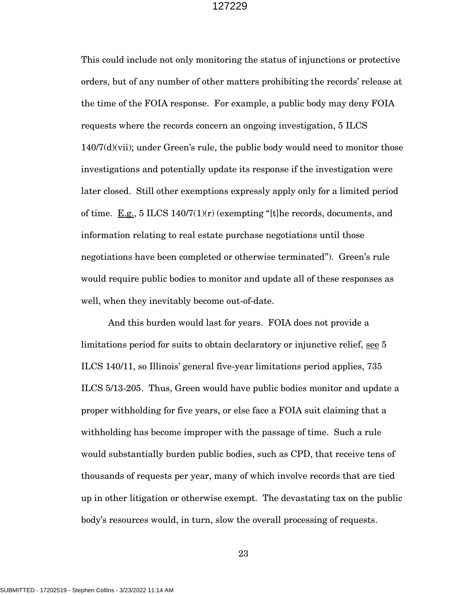This could include not only monitoring the status of injunctions or protective orders, but of any number of other matters prohibiting the records' release at the time of the FOIA response. For example, a public body may deny FOIA requests where the records concern an ongoing investigation, 5 ILCS  $140/7(d)(vii)$ ; under Green's rule, the public body would need to monitor those investigations and potentially update its response if the investigation were later closed. Still other exemptions expressly apply only for a limited period of time. E.g., 5 ILCS  $140/7(1)(r)$  (exempting "[t]he records, documents, and information relating to real estate purchase negotiations until those negotiations have been completed or otherwise terminated"). Green's rule would require public bodies to monitor and update all of these responses as well, when they inevitably become out-of-date.

And this burden would last for years. FOIA does not provide a limitations period for suits to obtain declaratory or injunctive relief, see 5 ILCS 140/11, so Illinois' general five-year limitations period applies, 735 ILCS 5/13-205. Thus, Green would have public bodies monitor and update a proper withholding for five years, or else face a FOIA suit claiming that a withholding has become improper with the passage of time. Such a rule would substantially burden public bodies, such as CPD, that receive tens of thousands of requests per year, many of which involve records that are tied up in other litigation or otherwise exempt. The devastating tax on the public body's resources would, in turn, slow the overall processing of requests.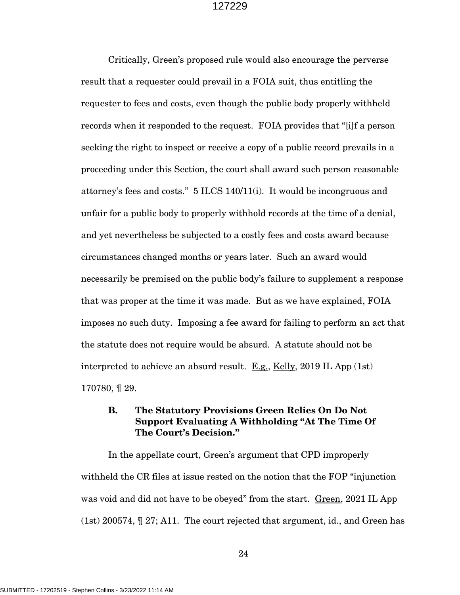Critically, Green's proposed rule would also encourage the perverse result that a requester could prevail in a FOIA suit, thus entitling the requester to fees and costs, even though the public body properly withheld records when it responded to the request. FOIA provides that "[i]f a person seeking the right to inspect or receive a copy of a public record prevails in a proceeding under this Section, the court shall award such person reasonable attorney's fees and costs." 5 ILCS 140/11(i). It would be incongruous and unfair for a public body to properly withhold records at the time of a denial, and yet nevertheless be subjected to a costly fees and costs award because circumstances changed months or years later. Such an award would necessarily be premised on the public body's failure to supplement a response that was proper at the time it was made. But as we have explained, FOIA imposes no such duty. Imposing a fee award for failing to perform an act that the statute does not require would be absurd. A statute should not be interpreted to achieve an absurd result.  $E.g.,$  Kelly, 2019 IL App (1st) 170780, ¶ 29.

### **B. The Statutory Provisions Green Relies On Do Not Support Evaluating A Withholding "At The Time Of The Court's Decision."**

In the appellate court, Green's argument that CPD improperly withheld the CR files at issue rested on the notion that the FOP "injunction was void and did not have to be obeyed" from the start. Green, 2021 IL App (1st) 200574, ¶ 27; A11. The court rejected that argument, id., and Green has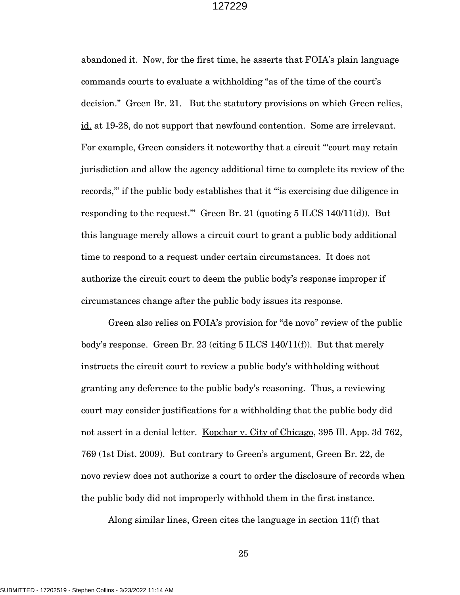abandoned it. Now, for the first time, he asserts that FOIA's plain language commands courts to evaluate a withholding "as of the time of the court's decision." Green Br. 21. But the statutory provisions on which Green relies, id. at 19-28, do not support that newfound contention. Some are irrelevant. For example, Green considers it noteworthy that a circuit "'court may retain jurisdiction and allow the agency additional time to complete its review of the records,'" if the public body establishes that it "'is exercising due diligence in responding to the request." Green Br. 21 (quoting  $5$  ILCS 140/11(d)). But this language merely allows a circuit court to grant a public body additional time to respond to a request under certain circumstances. It does not authorize the circuit court to deem the public body's response improper if circumstances change after the public body issues its response.

Green also relies on FOIA's provision for "de novo" review of the public body's response. Green Br. 23 (citing  $5$  ILCS 140/11(f)). But that merely instructs the circuit court to review a public body's withholding without granting any deference to the public body's reasoning. Thus, a reviewing court may consider justifications for a withholding that the public body did not assert in a denial letter. Kopchar v. City of Chicago, 395 Ill. App. 3d 762, 769 (1st Dist. 2009). But contrary to Green's argument, Green Br. 22, de novo review does not authorize a court to order the disclosure of records when the public body did not improperly withhold them in the first instance.

Along similar lines, Green cites the language in section 11(f) that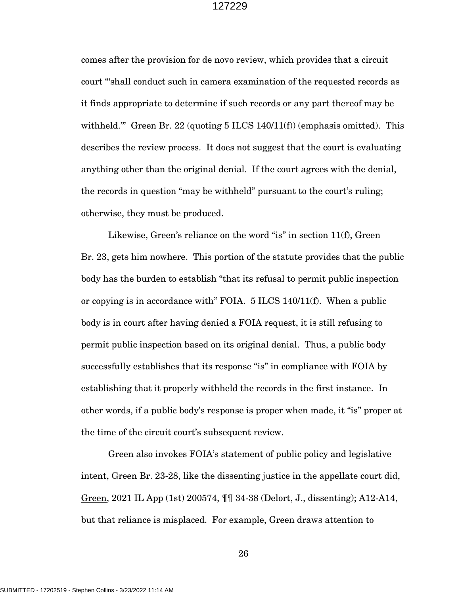comes after the provision for de novo review, which provides that a circuit court "'shall conduct such in camera examination of the requested records as it finds appropriate to determine if such records or any part thereof may be withheld." Green Br. 22 (quoting 5 ILCS 140/11(f)) (emphasis omitted). This describes the review process. It does not suggest that the court is evaluating anything other than the original denial. If the court agrees with the denial, the records in question "may be withheld" pursuant to the court's ruling; otherwise, they must be produced.

Likewise, Green's reliance on the word "is" in section 11(f), Green Br. 23, gets him nowhere. This portion of the statute provides that the public body has the burden to establish "that its refusal to permit public inspection or copying is in accordance with" FOIA. 5 ILCS 140/11(f). When a public body is in court after having denied a FOIA request, it is still refusing to permit public inspection based on its original denial. Thus, a public body successfully establishes that its response "is" in compliance with FOIA by establishing that it properly withheld the records in the first instance. In other words, if a public body's response is proper when made, it "is" proper at the time of the circuit court's subsequent review.

Green also invokes FOIA's statement of public policy and legislative intent, Green Br. 23-28, like the dissenting justice in the appellate court did, Green, 2021 IL App (1st) 200574, ¶¶ 34-38 (Delort, J., dissenting); A12-A14, but that reliance is misplaced. For example, Green draws attention to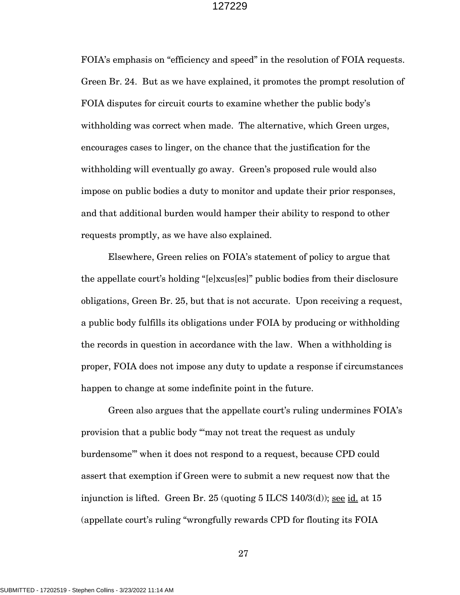FOIA's emphasis on "efficiency and speed" in the resolution of FOIA requests. Green Br. 24. But as we have explained, it promotes the prompt resolution of FOIA disputes for circuit courts to examine whether the public body's withholding was correct when made. The alternative, which Green urges, encourages cases to linger, on the chance that the justification for the withholding will eventually go away. Green's proposed rule would also impose on public bodies a duty to monitor and update their prior responses, and that additional burden would hamper their ability to respond to other requests promptly, as we have also explained.

Elsewhere, Green relies on FOIA's statement of policy to argue that the appellate court's holding "[e]xcus[es]" public bodies from their disclosure obligations, Green Br. 25, but that is not accurate. Upon receiving a request, a public body fulfills its obligations under FOIA by producing or withholding the records in question in accordance with the law. When a withholding is proper, FOIA does not impose any duty to update a response if circumstances happen to change at some indefinite point in the future.

Green also argues that the appellate court's ruling undermines FOIA's provision that a public body "'may not treat the request as unduly burdensome'" when it does not respond to a request, because CPD could assert that exemption if Green were to submit a new request now that the injunction is lifted. Green Br. 25 (quoting  $5$  ILCS  $140/3$ (d)); see id. at  $15$ (appellate court's ruling "wrongfully rewards CPD for flouting its FOIA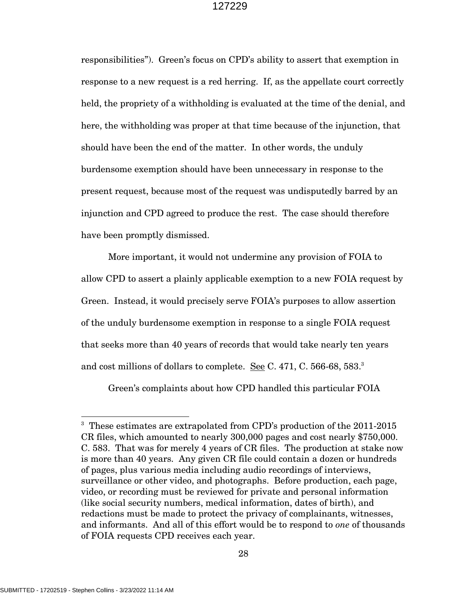responsibilities"). Green's focus on CPD's ability to assert that exemption in response to a new request is a red herring. If, as the appellate court correctly held, the propriety of a withholding is evaluated at the time of the denial, and here, the withholding was proper at that time because of the injunction, that should have been the end of the matter. In other words, the unduly burdensome exemption should have been unnecessary in response to the present request, because most of the request was undisputedly barred by an injunction and CPD agreed to produce the rest. The case should therefore have been promptly dismissed.

More important, it would not undermine any provision of FOIA to allow CPD to assert a plainly applicable exemption to a new FOIA request by Green. Instead, it would precisely serve FOIA's purposes to allow assertion of the unduly burdensome exemption in response to a single FOIA request that seeks more than 40 years of records that would take nearly ten years and cost millions of dollars to complete. See C. 471, C. 566-68, 583. $^3$ 

Green's complaints about how CPD handled this particular FOIA

<sup>&</sup>lt;sup>3</sup> These estimates are extrapolated from CPD's production of the 2011-2015 CR files, which amounted to nearly 300,000 pages and cost nearly \$750,000. C. 583. That was for merely 4 years of CR files. The production at stake now is more than 40 years. Any given CR file could contain a dozen or hundreds of pages, plus various media including audio recordings of interviews, surveillance or other video, and photographs. Before production, each page, video, or recording must be reviewed for private and personal information (like social security numbers, medical information, dates of birth), and redactions must be made to protect the privacy of complainants, witnesses, and informants. And all of this effort would be to respond to *one* of thousands of FOIA requests CPD receives each year.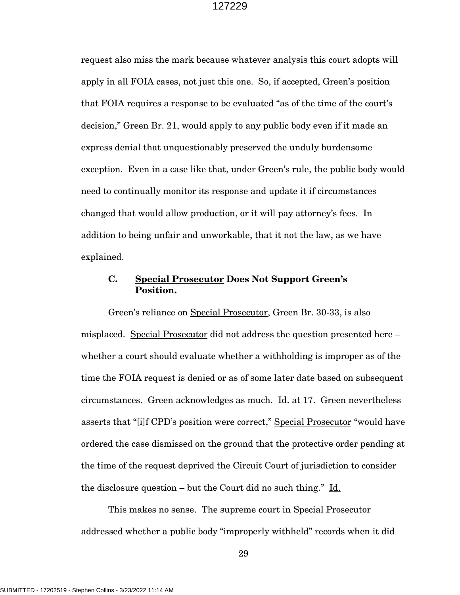request also miss the mark because whatever analysis this court adopts will apply in all FOIA cases, not just this one. So, if accepted, Green's position that FOIA requires a response to be evaluated "as of the time of the court's decision," Green Br. 21, would apply to any public body even if it made an express denial that unquestionably preserved the unduly burdensome exception. Even in a case like that, under Green's rule, the public body would need to continually monitor its response and update it if circumstances changed that would allow production, or it will pay attorney's fees. In addition to being unfair and unworkable, that it not the law, as we have explained.

### **C. Special Prosecutor Does Not Support Green's Position.**

Green's reliance on Special Prosecutor, Green Br. 30-33, is also misplaced. Special Prosecutor did not address the question presented here – whether a court should evaluate whether a withholding is improper as of the time the FOIA request is denied or as of some later date based on subsequent circumstances. Green acknowledges as much. Id. at 17. Green nevertheless asserts that "[i]f CPD's position were correct," Special Prosecutor "would have ordered the case dismissed on the ground that the protective order pending at the time of the request deprived the Circuit Court of jurisdiction to consider the disclosure question – but the Court did no such thing." Id.

This makes no sense. The supreme court in Special Prosecutor addressed whether a public body "improperly withheld" records when it did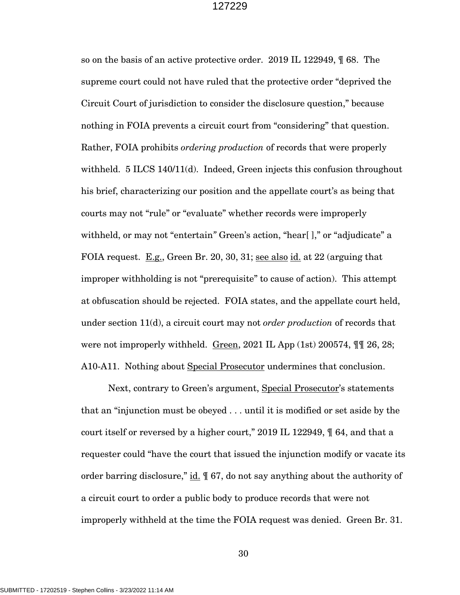so on the basis of an active protective order. 2019 IL 122949, ¶ 68. The supreme court could not have ruled that the protective order "deprived the Circuit Court of jurisdiction to consider the disclosure question," because nothing in FOIA prevents a circuit court from "considering" that question. Rather, FOIA prohibits *ordering production* of records that were properly withheld. 5 ILCS 140/11(d). Indeed, Green injects this confusion throughout his brief, characterizing our position and the appellate court's as being that courts may not "rule" or "evaluate" whether records were improperly withheld, or may not "entertain" Green's action, "hear[]," or "adjudicate" a FOIA request. E.g., Green Br. 20, 30, 31; see also id. at 22 (arguing that improper withholding is not "prerequisite" to cause of action). This attempt at obfuscation should be rejected. FOIA states, and the appellate court held, under section 11(d), a circuit court may not *order production* of records that were not improperly withheld. Green, 2021 IL App (1st) 200574,  $\P\P$  26, 28; A10-A11. Nothing about Special Prosecutor undermines that conclusion.

Next, contrary to Green's argument, Special Prosecutor's statements that an "injunction must be obeyed . . . until it is modified or set aside by the court itself or reversed by a higher court," 2019 IL 122949, ¶ 64, and that a requester could "have the court that issued the injunction modify or vacate its order barring disclosure," id. ¶ 67, do not say anything about the authority of a circuit court to order a public body to produce records that were not improperly withheld at the time the FOIA request was denied. Green Br. 31.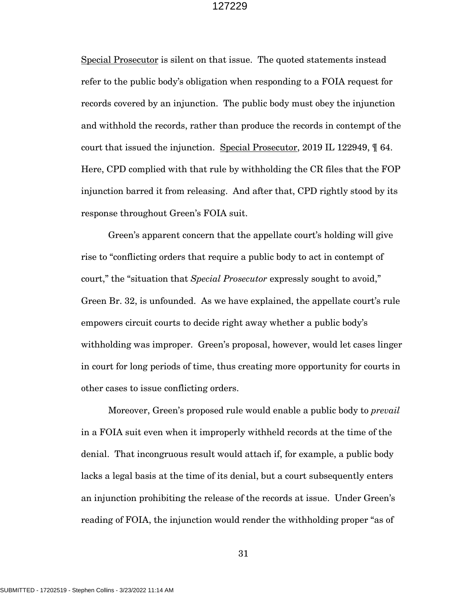Special Prosecutor is silent on that issue. The quoted statements instead refer to the public body's obligation when responding to a FOIA request for records covered by an injunction. The public body must obey the injunction and withhold the records, rather than produce the records in contempt of the court that issued the injunction. Special Prosecutor, 2019 IL 122949, ¶ 64. Here, CPD complied with that rule by withholding the CR files that the FOP injunction barred it from releasing. And after that, CPD rightly stood by its response throughout Green's FOIA suit.

Green's apparent concern that the appellate court's holding will give rise to "conflicting orders that require a public body to act in contempt of court," the "situation that *Special Prosecutor* expressly sought to avoid," Green Br. 32, is unfounded. As we have explained, the appellate court's rule empowers circuit courts to decide right away whether a public body's withholding was improper. Green's proposal, however, would let cases linger in court for long periods of time, thus creating more opportunity for courts in other cases to issue conflicting orders.

Moreover, Green's proposed rule would enable a public body to *prevail* in a FOIA suit even when it improperly withheld records at the time of the denial. That incongruous result would attach if, for example, a public body lacks a legal basis at the time of its denial, but a court subsequently enters an injunction prohibiting the release of the records at issue. Under Green's reading of FOIA, the injunction would render the withholding proper "as of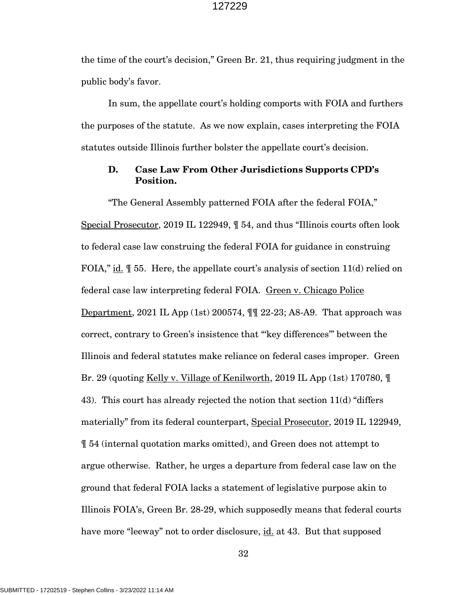the time of the court's decision," Green Br. 21, thus requiring judgment in the public body's favor.

In sum, the appellate court's holding comports with FOIA and furthers the purposes of the statute. As we now explain, cases interpreting the FOIA statutes outside Illinois further bolster the appellate court's decision.

### **D. Case Law From Other Jurisdictions Supports CPD's Position.**

"The General Assembly patterned FOIA after the federal FOIA," Special Prosecutor, 2019 IL 122949, ¶ 54, and thus "Illinois courts often look to federal case law construing the federal FOIA for guidance in construing FOIA," id.  $\parallel$  55. Here, the appellate court's analysis of section 11(d) relied on federal case law interpreting federal FOIA. Green v. Chicago Police Department, 2021 IL App (1st) 200574, ¶¶ 22-23; A8-A9. That approach was correct, contrary to Green's insistence that "'key differences'" between the Illinois and federal statutes make reliance on federal cases improper. Green Br. 29 (quoting Kelly v. Village of Kenilworth, 2019 IL App (1st) 170780, ¶ 43). This court has already rejected the notion that section  $11(d)$  "differs" materially" from its federal counterpart, Special Prosecutor, 2019 IL 122949, ¶ 54 (internal quotation marks omitted), and Green does not attempt to argue otherwise. Rather, he urges a departure from federal case law on the ground that federal FOIA lacks a statement of legislative purpose akin to Illinois FOIA's, Green Br. 28-29, which supposedly means that federal courts have more "leeway" not to order disclosure, id. at 43. But that supposed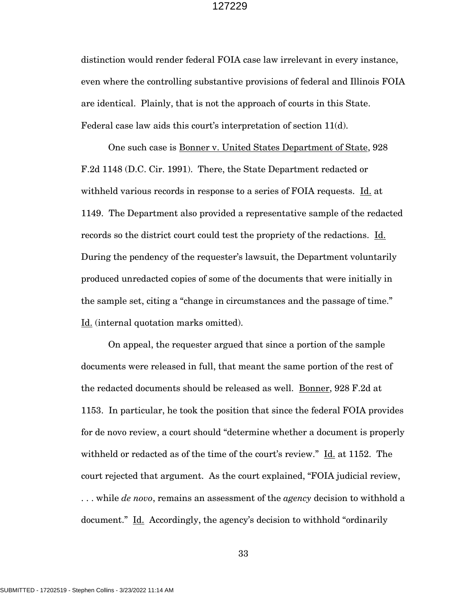distinction would render federal FOIA case law irrelevant in every instance, even where the controlling substantive provisions of federal and Illinois FOIA are identical. Plainly, that is not the approach of courts in this State. Federal case law aids this court's interpretation of section 11(d).

One such case is Bonner v. United States Department of State, 928 F.2d 1148 (D.C. Cir. 1991). There, the State Department redacted or withheld various records in response to a series of FOIA requests. Id. at 1149. The Department also provided a representative sample of the redacted records so the district court could test the propriety of the redactions. Id. During the pendency of the requester's lawsuit, the Department voluntarily produced unredacted copies of some of the documents that were initially in the sample set, citing a "change in circumstances and the passage of time." Id. (internal quotation marks omitted).

On appeal, the requester argued that since a portion of the sample documents were released in full, that meant the same portion of the rest of the redacted documents should be released as well. Bonner, 928 F.2d at 1153. In particular, he took the position that since the federal FOIA provides for de novo review, a court should "determine whether a document is properly withheld or redacted as of the time of the court's review." Id. at 1152. The court rejected that argument. As the court explained, "FOIA judicial review, . . . while *de novo*, remains an assessment of the *agency* decision to withhold a document." Id. Accordingly, the agency's decision to withhold "ordinarily"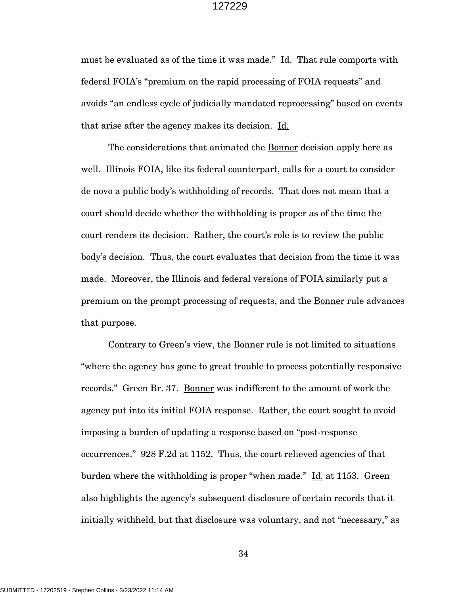must be evaluated as of the time it was made." Id. That rule comports with federal FOIA's "premium on the rapid processing of FOIA requests" and avoids "an endless cycle of judicially mandated reprocessing" based on events that arise after the agency makes its decision. Id.

The considerations that animated the **Bonner** decision apply here as well. Illinois FOIA, like its federal counterpart, calls for a court to consider de novo a public body's withholding of records. That does not mean that a court should decide whether the withholding is proper as of the time the court renders its decision. Rather, the court's role is to review the public body's decision. Thus, the court evaluates that decision from the time it was made. Moreover, the Illinois and federal versions of FOIA similarly put a premium on the prompt processing of requests, and the Bonner rule advances that purpose.

Contrary to Green's view, the Bonner rule is not limited to situations "where the agency has gone to great trouble to process potentially responsive records." Green Br. 37. Bonner was indifferent to the amount of work the agency put into its initial FOIA response. Rather, the court sought to avoid imposing a burden of updating a response based on "post-response occurrences." 928 F.2d at 1152. Thus, the court relieved agencies of that burden where the withholding is proper "when made." Id. at 1153. Green also highlights the agency's subsequent disclosure of certain records that it initially withheld, but that disclosure was voluntary, and not "necessary," as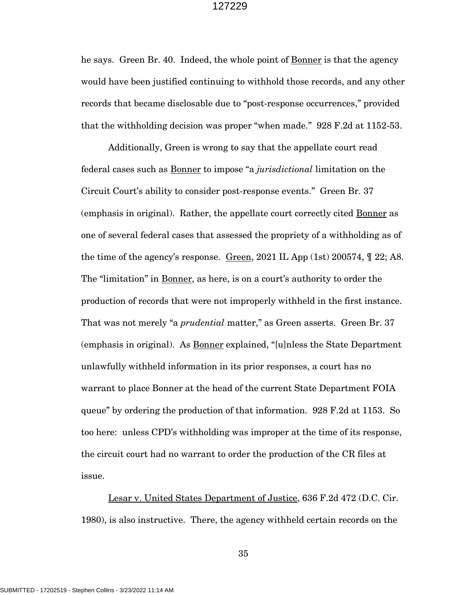he says. Green Br. 40. Indeed, the whole point of Bonner is that the agency would have been justified continuing to withhold those records, and any other records that became disclosable due to "post-response occurrences," provided that the withholding decision was proper "when made." 928 F.2d at 1152-53.

Additionally, Green is wrong to say that the appellate court read federal cases such as Bonner to impose "a *jurisdictional* limitation on the Circuit Court's ability to consider post-response events." Green Br. 37 (emphasis in original). Rather, the appellate court correctly cited Bonner as one of several federal cases that assessed the propriety of a withholding as of the time of the agency's response. Green, 2021 IL App (1st) 200574, ¶ 22; A8. The "limitation" in Bonner, as here, is on a court's authority to order the production of records that were not improperly withheld in the first instance. That was not merely "a *prudential* matter," as Green asserts. Green Br. 37 (emphasis in original). As Bonner explained, "[u]nless the State Department unlawfully withheld information in its prior responses, a court has no warrant to place Bonner at the head of the current State Department FOIA queue" by ordering the production of that information. 928 F.2d at 1153. So too here: unless CPD's withholding was improper at the time of its response, the circuit court had no warrant to order the production of the CR files at issue.

Lesar v. United States Department of Justice, 636 F.2d 472 (D.C. Cir. 1980), is also instructive. There, the agency withheld certain records on the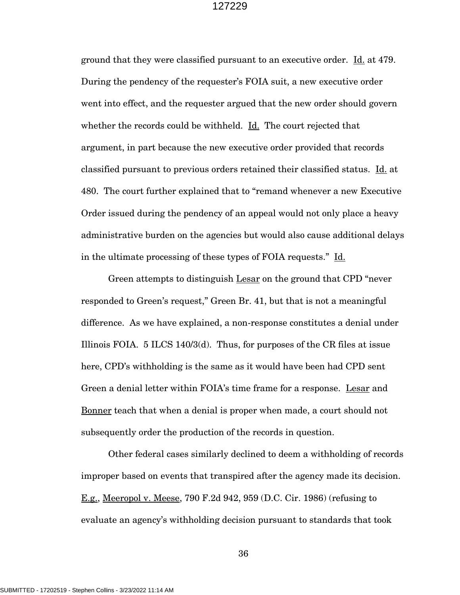ground that they were classified pursuant to an executive order. Id. at 479. During the pendency of the requester's FOIA suit, a new executive order went into effect, and the requester argued that the new order should govern whether the records could be withheld. Id. The court rejected that argument, in part because the new executive order provided that records classified pursuant to previous orders retained their classified status. Id. at 480. The court further explained that to "remand whenever a new Executive Order issued during the pendency of an appeal would not only place a heavy administrative burden on the agencies but would also cause additional delays in the ultimate processing of these types of FOIA requests." Id.

Green attempts to distinguish Lesar on the ground that CPD "never responded to Green's request," Green Br. 41, but that is not a meaningful difference. As we have explained, a non-response constitutes a denial under Illinois FOIA.  $5$  ILCS 140/3(d). Thus, for purposes of the CR files at issue here, CPD's withholding is the same as it would have been had CPD sent Green a denial letter within FOIA's time frame for a response. Lesar and Bonner teach that when a denial is proper when made, a court should not subsequently order the production of the records in question.

Other federal cases similarly declined to deem a withholding of records improper based on events that transpired after the agency made its decision. E.g., Meeropol v. Meese, 790 F.2d 942, 959 (D.C. Cir. 1986) (refusing to evaluate an agency's withholding decision pursuant to standards that took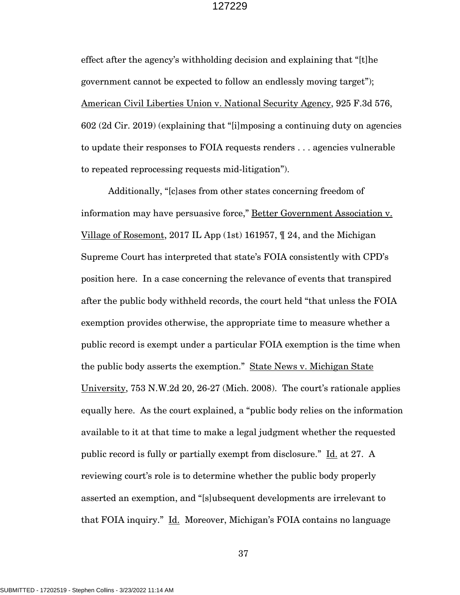effect after the agency's withholding decision and explaining that "[t]he government cannot be expected to follow an endlessly moving target"); American Civil Liberties Union v. National Security Agency, 925 F.3d 576, 602 (2d Cir. 2019) (explaining that "[i]mposing a continuing duty on agencies to update their responses to FOIA requests renders . . . agencies vulnerable to repeated reprocessing requests mid-litigation").

Additionally, "[c]ases from other states concerning freedom of information may have persuasive force," Better Government Association v. Village of Rosemont, 2017 IL App (1st) 161957, ¶ 24, and the Michigan Supreme Court has interpreted that state's FOIA consistently with CPD's position here. In a case concerning the relevance of events that transpired after the public body withheld records, the court held "that unless the FOIA exemption provides otherwise, the appropriate time to measure whether a public record is exempt under a particular FOIA exemption is the time when the public body asserts the exemption." State News v. Michigan State University, 753 N.W.2d 20, 26-27 (Mich. 2008). The court's rationale applies equally here. As the court explained, a "public body relies on the information available to it at that time to make a legal judgment whether the requested public record is fully or partially exempt from disclosure." Id. at 27. A reviewing court's role is to determine whether the public body properly asserted an exemption, and "[s]ubsequent developments are irrelevant to that FOIA inquiry." Id. Moreover, Michigan's FOIA contains no language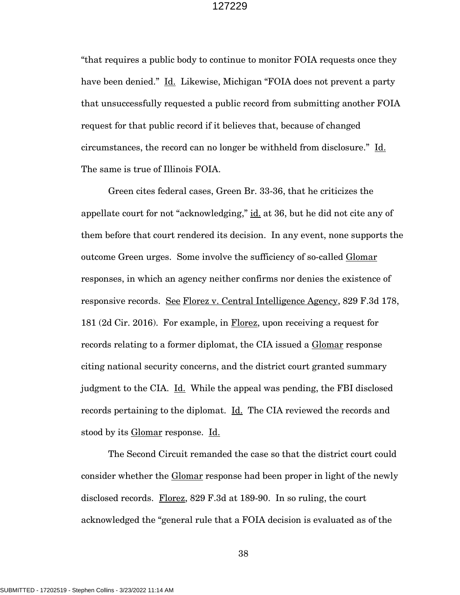"that requires a public body to continue to monitor FOIA requests once they have been denied." Id. Likewise, Michigan "FOIA does not prevent a party that unsuccessfully requested a public record from submitting another FOIA request for that public record if it believes that, because of changed circumstances, the record can no longer be withheld from disclosure." Id. The same is true of Illinois FOIA.

Green cites federal cases, Green Br. 33-36, that he criticizes the appellate court for not "acknowledging," id. at 36, but he did not cite any of them before that court rendered its decision. In any event, none supports the outcome Green urges. Some involve the sufficiency of so-called Glomar responses, in which an agency neither confirms nor denies the existence of responsive records. See Florez v. Central Intelligence Agency, 829 F.3d 178, 181 (2d Cir. 2016). For example, in Florez, upon receiving a request for records relating to a former diplomat, the CIA issued a Glomar response citing national security concerns, and the district court granted summary judgment to the CIA. Id. While the appeal was pending, the FBI disclosed records pertaining to the diplomat. Id. The CIA reviewed the records and stood by its Glomar response. Id.

The Second Circuit remanded the case so that the district court could consider whether the Glomar response had been proper in light of the newly disclosed records. Florez, 829 F.3d at 189-90. In so ruling, the court acknowledged the "general rule that a FOIA decision is evaluated as of the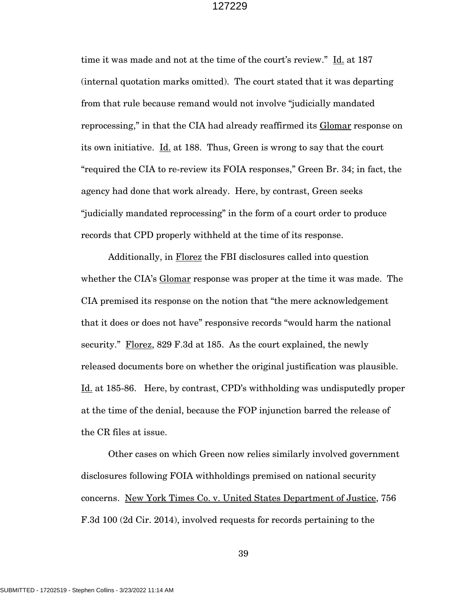time it was made and not at the time of the court's review." Id. at 187 (internal quotation marks omitted). The court stated that it was departing from that rule because remand would not involve "judicially mandated reprocessing," in that the CIA had already reaffirmed its Glomar response on its own initiative. Id. at 188. Thus, Green is wrong to say that the court "required the CIA to re-review its FOIA responses," Green Br. 34; in fact, the agency had done that work already. Here, by contrast, Green seeks "judicially mandated reprocessing" in the form of a court order to produce records that CPD properly withheld at the time of its response.

Additionally, in Florez the FBI disclosures called into question whether the CIA's Glomar response was proper at the time it was made. The CIA premised its response on the notion that "the mere acknowledgement that it does or does not have" responsive records "would harm the national security." Florez, 829 F.3d at 185. As the court explained, the newly released documents bore on whether the original justification was plausible. Id. at 185-86. Here, by contrast, CPD's withholding was undisputedly proper at the time of the denial, because the FOP injunction barred the release of the CR files at issue.

Other cases on which Green now relies similarly involved government disclosures following FOIA withholdings premised on national security concerns. New York Times Co. v. United States Department of Justice, 756 F.3d 100 (2d Cir. 2014), involved requests for records pertaining to the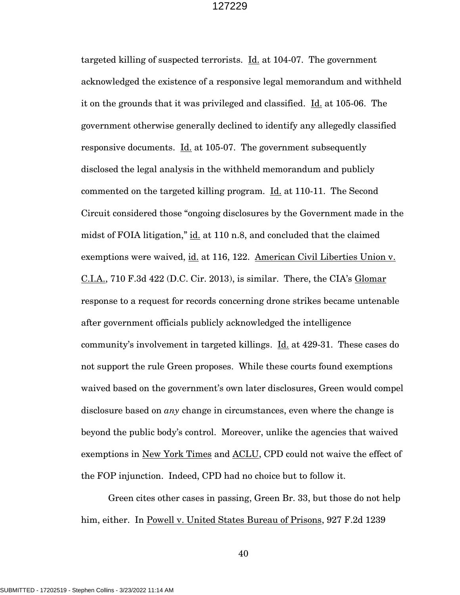targeted killing of suspected terrorists. Id. at 104-07. The government acknowledged the existence of a responsive legal memorandum and withheld it on the grounds that it was privileged and classified. Id. at 105-06. The government otherwise generally declined to identify any allegedly classified responsive documents. Id. at 105-07. The government subsequently disclosed the legal analysis in the withheld memorandum and publicly commented on the targeted killing program. Id. at 110-11. The Second Circuit considered those "ongoing disclosures by the Government made in the midst of FOIA litigation," id. at 110 n.8, and concluded that the claimed exemptions were waived, id. at 116, 122. American Civil Liberties Union v. C.I.A., 710 F.3d 422 (D.C. Cir. 2013), is similar. There, the CIA's Glomar response to a request for records concerning drone strikes became untenable after government officials publicly acknowledged the intelligence community's involvement in targeted killings. Id. at 429-31. These cases do not support the rule Green proposes. While these courts found exemptions waived based on the government's own later disclosures, Green would compel disclosure based on *any* change in circumstances, even where the change is beyond the public body's control. Moreover, unlike the agencies that waived exemptions in New York Times and ACLU, CPD could not waive the effect of the FOP injunction. Indeed, CPD had no choice but to follow it.

Green cites other cases in passing, Green Br. 33, but those do not help him, either. In Powell v. United States Bureau of Prisons, 927 F.2d 1239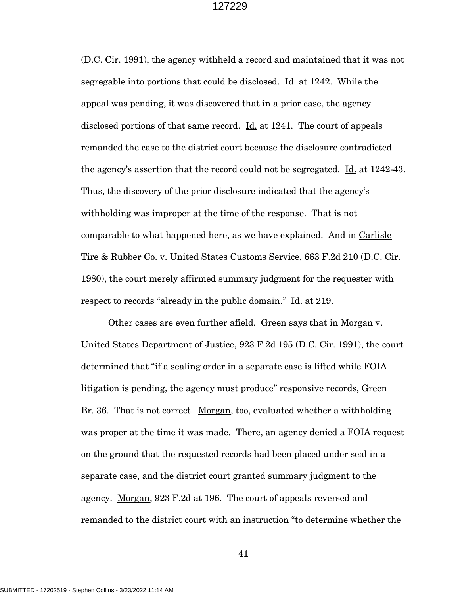(D.C. Cir. 1991), the agency withheld a record and maintained that it was not segregable into portions that could be disclosed. Id. at 1242. While the appeal was pending, it was discovered that in a prior case, the agency disclosed portions of that same record. Id. at 1241. The court of appeals remanded the case to the district court because the disclosure contradicted the agency's assertion that the record could not be segregated. Id. at 1242-43. Thus, the discovery of the prior disclosure indicated that the agency's withholding was improper at the time of the response. That is not comparable to what happened here, as we have explained. And in Carlisle Tire & Rubber Co. v. United States Customs Service, 663 F.2d 210 (D.C. Cir. 1980), the court merely affirmed summary judgment for the requester with respect to records "already in the public domain." Id. at 219.

Other cases are even further afield. Green says that in Morgan v. United States Department of Justice, 923 F.2d 195 (D.C. Cir. 1991), the court determined that "if a sealing order in a separate case is lifted while FOIA litigation is pending, the agency must produce" responsive records, Green Br. 36. That is not correct. Morgan, too, evaluated whether a withholding was proper at the time it was made. There, an agency denied a FOIA request on the ground that the requested records had been placed under seal in a separate case, and the district court granted summary judgment to the agency. Morgan, 923 F.2d at 196. The court of appeals reversed and remanded to the district court with an instruction "to determine whether the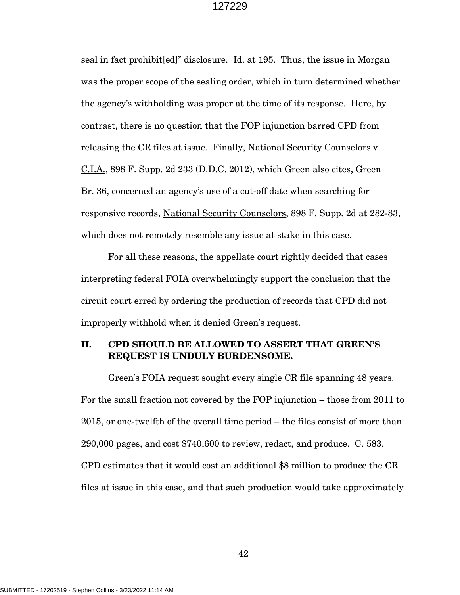seal in fact prohibit[ed]" disclosure. Id. at 195. Thus, the issue in Morgan was the proper scope of the sealing order, which in turn determined whether the agency's withholding was proper at the time of its response. Here, by contrast, there is no question that the FOP injunction barred CPD from releasing the CR files at issue. Finally, National Security Counselors v. C.I.A., 898 F. Supp. 2d 233 (D.D.C. 2012), which Green also cites, Green Br. 36, concerned an agency's use of a cut-off date when searching for responsive records, National Security Counselors, 898 F. Supp. 2d at 282-83, which does not remotely resemble any issue at stake in this case.

For all these reasons, the appellate court rightly decided that cases interpreting federal FOIA overwhelmingly support the conclusion that the circuit court erred by ordering the production of records that CPD did not improperly withhold when it denied Green's request.

### **II. CPD SHOULD BE ALLOWED TO ASSERT THAT GREEN'S REQUEST IS UNDULY BURDENSOME.**

Green's FOIA request sought every single CR file spanning 48 years. For the small fraction not covered by the FOP injunction – those from 2011 to 2015, or one-twelfth of the overall time period – the files consist of more than 290,000 pages, and cost \$740,600 to review, redact, and produce. C. 583. CPD estimates that it would cost an additional \$8 million to produce the CR files at issue in this case, and that such production would take approximately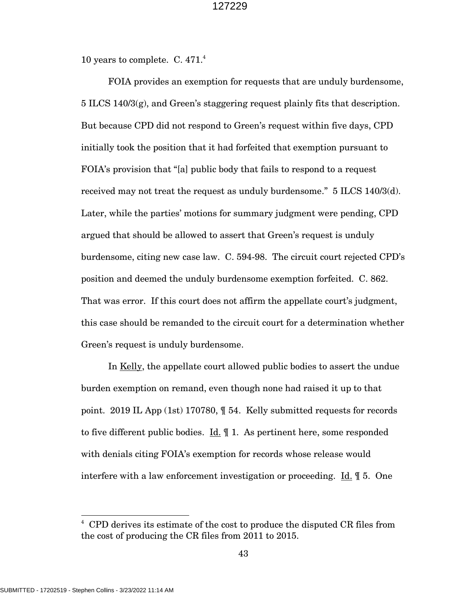10 years to complete. C. 471.<sup>4</sup>

FOIA provides an exemption for requests that are unduly burdensome, 5 ILCS 140/3(g), and Green's staggering request plainly fits that description. But because CPD did not respond to Green's request within five days, CPD initially took the position that it had forfeited that exemption pursuant to FOIA's provision that "[a] public body that fails to respond to a request received may not treat the request as unduly burdensome." 5 ILCS 140/3(d). Later, while the parties' motions for summary judgment were pending, CPD argued that should be allowed to assert that Green's request is unduly burdensome, citing new case law. C. 594-98. The circuit court rejected CPD's position and deemed the unduly burdensome exemption forfeited. C. 862. That was error. If this court does not affirm the appellate court's judgment, this case should be remanded to the circuit court for a determination whether Green's request is unduly burdensome.

In Kelly, the appellate court allowed public bodies to assert the undue burden exemption on remand, even though none had raised it up to that point. 2019 IL App (1st) 170780, ¶ 54. Kelly submitted requests for records to five different public bodies. Id. ¶ 1. As pertinent here, some responded with denials citing FOIA's exemption for records whose release would interfere with a law enforcement investigation or proceeding. Id. ¶ 5. One

<sup>4</sup> CPD derives its estimate of the cost to produce the disputed CR files from the cost of producing the CR files from 2011 to 2015.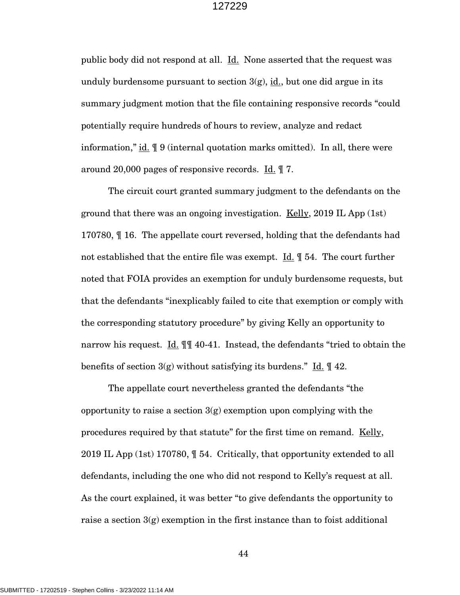public body did not respond at all. Id. None asserted that the request was unduly burdensome pursuant to section  $3(g)$ , id., but one did argue in its summary judgment motion that the file containing responsive records "could potentially require hundreds of hours to review, analyze and redact information," id.  $\parallel$  9 (internal quotation marks omitted). In all, there were around 20,000 pages of responsive records.  $\underline{Id}$ .  $\P$  7.

The circuit court granted summary judgment to the defendants on the ground that there was an ongoing investigation.  $Kelly$ , 2019 IL App (1st) 170780, ¶ 16. The appellate court reversed, holding that the defendants had not established that the entire file was exempt. Id. ¶ 54. The court further noted that FOIA provides an exemption for unduly burdensome requests, but that the defendants "inexplicably failed to cite that exemption or comply with the corresponding statutory procedure" by giving Kelly an opportunity to narrow his request. Id. ¶¶ 40-41. Instead, the defendants "tried to obtain the benefits of section  $3(g)$  without satisfying its burdens." Id.  $\llbracket 42$ .

The appellate court nevertheless granted the defendants "the opportunity to raise a section  $3(g)$  exemption upon complying with the procedures required by that statute" for the first time on remand. Kelly, 2019 IL App (1st) 170780, ¶ 54. Critically, that opportunity extended to all defendants, including the one who did not respond to Kelly's request at all. As the court explained, it was better "to give defendants the opportunity to raise a section  $3(g)$  exemption in the first instance than to foist additional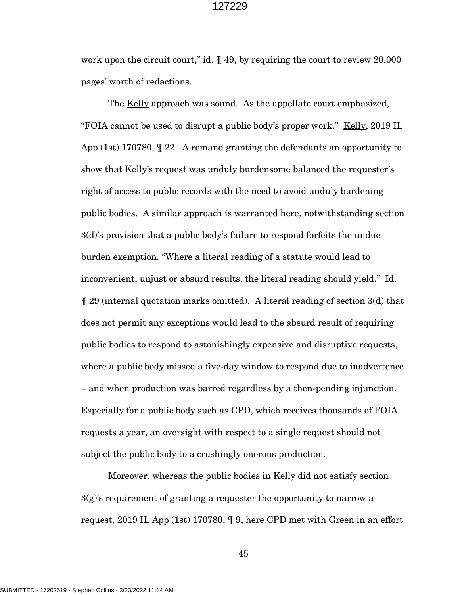work upon the circuit court,"  $\underline{\text{id}}$ .  $\P$  49, by requiring the court to review 20,000 pages' worth of redactions.

The Kelly approach was sound. As the appellate court emphasized, "FOIA cannot be used to disrupt a public body's proper work." <u>Kelly</u>, 2019 IL App (1st) 170780, ¶ 22. A remand granting the defendants an opportunity to show that Kelly's request was unduly burdensome balanced the requester's right of access to public records with the need to avoid unduly burdening public bodies. A similar approach is warranted here, notwithstanding section 3(d)'s provision that a public body's failure to respond forfeits the undue burden exemption. "Where a literal reading of a statute would lead to inconvenient, unjust or absurd results, the literal reading should yield." Id. ¶ 29 (internal quotation marks omitted). A literal reading of section 3(d) that does not permit any exceptions would lead to the absurd result of requiring public bodies to respond to astonishingly expensive and disruptive requests, where a public body missed a five-day window to respond due to inadvertence – and when production was barred regardless by a then-pending injunction. Especially for a public body such as CPD, which receives thousands of FOIA requests a year, an oversight with respect to a single request should not subject the public body to a crushingly onerous production.

Moreover, whereas the public bodies in Kelly did not satisfy section  $3(g)$ 's requirement of granting a requester the opportunity to narrow a request, 2019 IL App (1st) 170780, ¶ 9, here CPD met with Green in an effort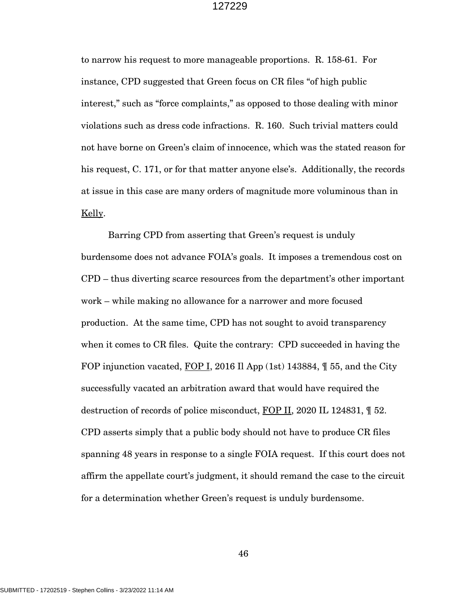to narrow his request to more manageable proportions. R. 158-61. For instance, CPD suggested that Green focus on CR files "of high public interest," such as "force complaints," as opposed to those dealing with minor violations such as dress code infractions. R. 160. Such trivial matters could not have borne on Green's claim of innocence, which was the stated reason for his request, C. 171, or for that matter anyone else's. Additionally, the records at issue in this case are many orders of magnitude more voluminous than in Kelly.

Barring CPD from asserting that Green's request is unduly burdensome does not advance FOIA's goals. It imposes a tremendous cost on CPD – thus diverting scarce resources from the department's other important work – while making no allowance for a narrower and more focused production. At the same time, CPD has not sought to avoid transparency when it comes to CR files. Quite the contrary: CPD succeeded in having the FOP injunction vacated, FOP I, 2016 Il App (1st) 143884,  $\parallel$  55, and the City successfully vacated an arbitration award that would have required the destruction of records of police misconduct, FOP II, 2020 IL 124831, ¶ 52. CPD asserts simply that a public body should not have to produce CR files spanning 48 years in response to a single FOIA request. If this court does not affirm the appellate court's judgment, it should remand the case to the circuit for a determination whether Green's request is unduly burdensome.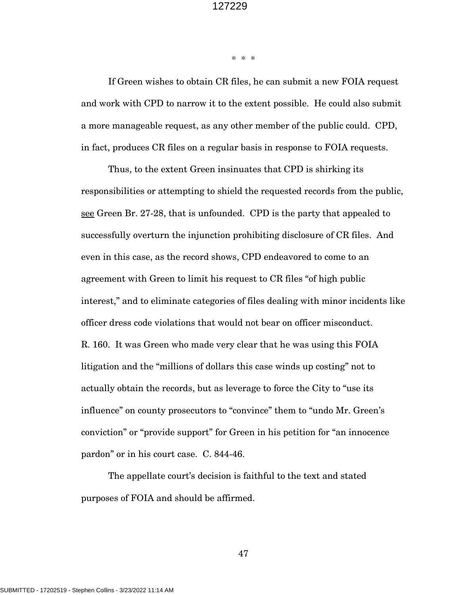\* \* \*

If Green wishes to obtain CR files, he can submit a new FOIA request and work with CPD to narrow it to the extent possible. He could also submit a more manageable request, as any other member of the public could. CPD, in fact, produces CR files on a regular basis in response to FOIA requests.

Thus, to the extent Green insinuates that CPD is shirking its responsibilities or attempting to shield the requested records from the public, see Green Br. 27-28, that is unfounded. CPD is the party that appealed to successfully overturn the injunction prohibiting disclosure of CR files. And even in this case, as the record shows, CPD endeavored to come to an agreement with Green to limit his request to CR files "of high public interest," and to eliminate categories of files dealing with minor incidents like officer dress code violations that would not bear on officer misconduct. R. 160. It was Green who made very clear that he was using this FOIA litigation and the "millions of dollars this case winds up costing" not to actually obtain the records, but as leverage to force the City to "use its influence" on county prosecutors to "convince" them to "undo Mr. Green's conviction" or "provide support" for Green in his petition for "an innocence pardon" or in his court case. C. 844-46.

The appellate court's decision is faithful to the text and stated purposes of FOIA and should be affirmed.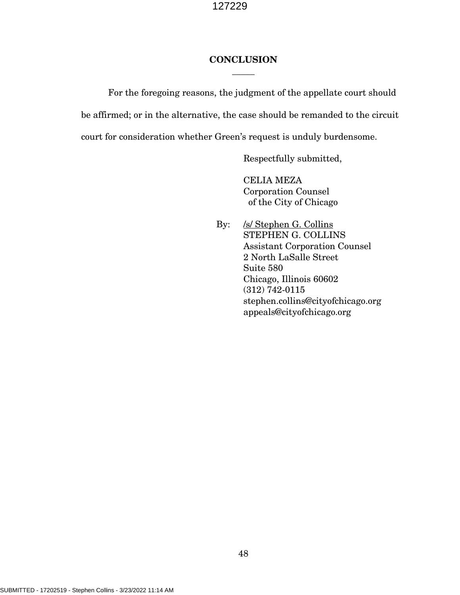### **CONCLUSION** \_\_\_\_\_

For the foregoing reasons, the judgment of the appellate court should be affirmed; or in the alternative, the case should be remanded to the circuit court for consideration whether Green's request is unduly burdensome.

Respectfully submitted,

CELIA MEZA Corporation Counsel of the City of Chicago

By: /s/ Stephen G. Collins STEPHEN G. COLLINS Assistant Corporation Counsel 2 North LaSalle Street Suite 580 Chicago, Illinois 60602 (312) 742-0115 stephen.collins@cityofchicago.org appeals@cityofchicago.org